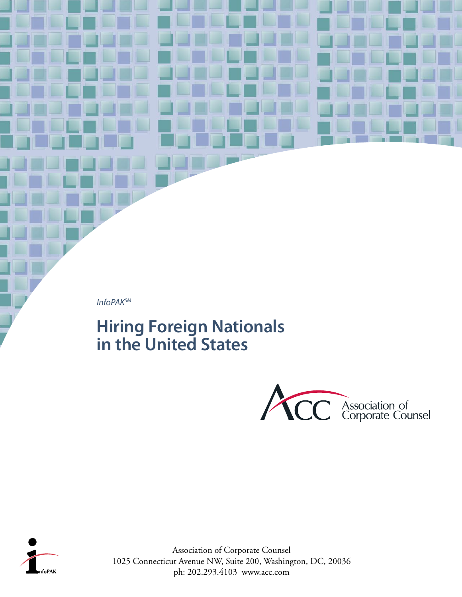*InfoPAKSM*

# **Hiring Foreign Nationals in the United States**





 $\overline{ }$ 

Association of Corporate Counsel 1025 Connecticut Avenue NW, Suite 200, Washington, DC, 20036 ph: 202.293.4103 www.acc.com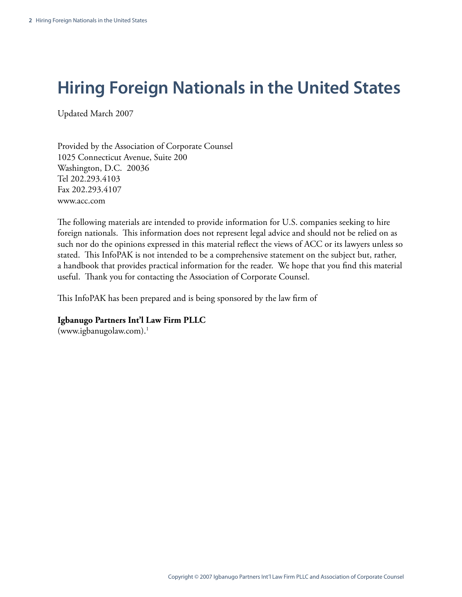# **Hiring Foreign Nationals in the United States**

Updated March 2007

Provided by the Association of Corporate Counsel 1025 Connecticut Avenue, Suite 200 Washington, D.C. 20036 Tel 202.293.4103 Fax 202.293.4107 www.acc.com

The following materials are intended to provide information for U.S. companies seeking to hire foreign nationals. This information does not represent legal advice and should not be relied on as such nor do the opinions expressed in this material reflect the views of ACC or its lawyers unless so stated. This InfoPAK is not intended to be a comprehensive statement on the subject but, rather, a handbook that provides practical information for the reader. We hope that you find this material useful. Thank you for contacting the Association of Corporate Counsel.

This InfoPAK has been prepared and is being sponsored by the law firm of

**Igbanugo Partners Int'l Law Firm PLLC** 

(www.igbanugolaw.com).1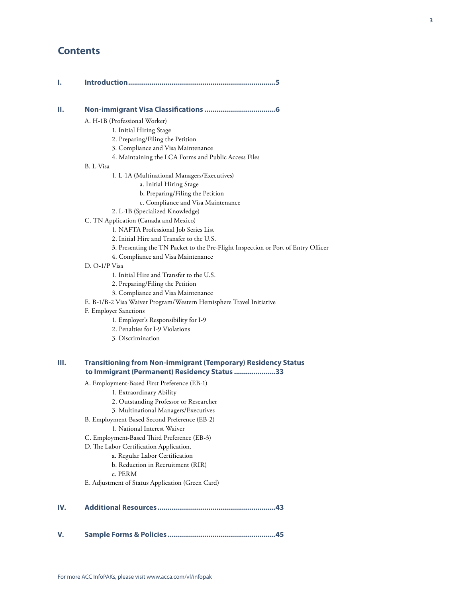# **Contents**

| ı.  |                                                                                                                         |
|-----|-------------------------------------------------------------------------------------------------------------------------|
| Ш.  |                                                                                                                         |
|     | A. H-1B (Professional Worker)                                                                                           |
|     | 1. Initial Hiring Stage                                                                                                 |
|     | 2. Preparing/Filing the Petition                                                                                        |
|     | 3. Compliance and Visa Maintenance                                                                                      |
|     | 4. Maintaining the LCA Forms and Public Access Files                                                                    |
|     | B. L-Visa                                                                                                               |
|     | 1. L-1A (Multinational Managers/Executives)                                                                             |
|     | a. Initial Hiring Stage                                                                                                 |
|     | b. Preparing/Filing the Petition                                                                                        |
|     | c. Compliance and Visa Maintenance                                                                                      |
|     | 2. L-1B (Specialized Knowledge)                                                                                         |
|     | C. TN Application (Canada and Mexico)                                                                                   |
|     | 1. NAFTA Professional Job Series List<br>2. Initial Hire and Transfer to the U.S.                                       |
|     |                                                                                                                         |
|     | 3. Presenting the TN Packet to the Pre-Flight Inspection or Port of Entry Officer<br>4. Compliance and Visa Maintenance |
|     | $D. O-1/P$ Visa                                                                                                         |
|     | 1. Initial Hire and Transfer to the U.S.                                                                                |
|     | 2. Preparing/Filing the Petition                                                                                        |
|     | 3. Compliance and Visa Maintenance                                                                                      |
|     | E. B-1/B-2 Visa Waiver Program/Western Hemisphere Travel Initiative                                                     |
|     | F. Employer Sanctions                                                                                                   |
|     | 1. Employer's Responsibility for I-9                                                                                    |
|     | 2. Penalties for I-9 Violations                                                                                         |
|     | 3. Discrimination                                                                                                       |
| Ш.  | <b>Transitioning from Non-immigrant (Temporary) Residency Status</b><br>to Immigrant (Permanent) Residency Status 33    |
|     | A. Employment-Based First Preference (EB-1)                                                                             |
|     | 1. Extraordinary Ability                                                                                                |
|     | 2. Outstanding Professor or Researcher                                                                                  |
|     | 3. Multinational Managers/Executives                                                                                    |
|     | B. Employment-Based Second Preference (EB-2)                                                                            |
|     | 1. National Interest Waiver                                                                                             |
|     | C. Employment-Based Third Preference (EB-3)                                                                             |
|     | D. The Labor Certification Application.                                                                                 |
|     | a. Regular Labor Certification                                                                                          |
|     | b. Reduction in Recruitment (RIR)                                                                                       |
|     | c. PERM                                                                                                                 |
|     | E. Adjustment of Status Application (Green Card)                                                                        |
| IV. |                                                                                                                         |
| v.  |                                                                                                                         |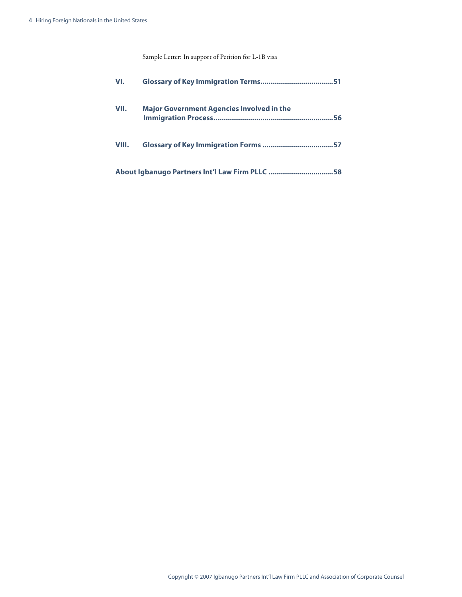Sample Letter: In support of Petition for L-1B visa

| VI.   |                                                  |
|-------|--------------------------------------------------|
| VII.  | <b>Major Government Agencies Involved in the</b> |
| VIII. |                                                  |
|       | About Igbanugo Partners Int'l Law Firm PLLC 58   |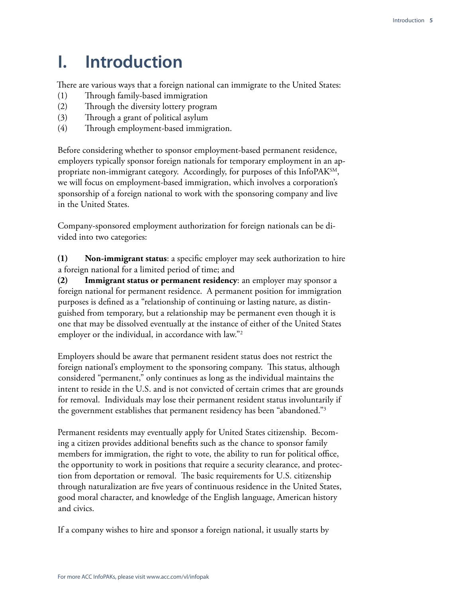# **I. Introduction**

There are various ways that a foreign national can immigrate to the United States:

- (1) Through family-based immigration
- (2) Through the diversity lottery program
- (3) Through a grant of political asylum
- (4) Through employment-based immigration.

Before considering whether to sponsor employment-based permanent residence, employers typically sponsor foreign nationals for temporary employment in an appropriate non-immigrant category. Accordingly, for purposes of this InfoPAK<sup>SM</sup>, we will focus on employment-based immigration, which involves a corporation's sponsorship of a foreign national to work with the sponsoring company and live in the United States.

Company-sponsored employment authorization for foreign nationals can be divided into two categories:

**(1) Non-immigrant status**: a specific employer may seek authorization to hire a foreign national for a limited period of time; and

**(2) Immigrant status or permanent residency**: an employer may sponsor a foreign national for permanent residence. A permanent position for immigration purposes is defined as a "relationship of continuing or lasting nature, as distinguished from temporary, but a relationship may be permanent even though it is one that may be dissolved eventually at the instance of either of the United States employer or the individual, in accordance with law."2

Employers should be aware that permanent resident status does not restrict the foreign national's employment to the sponsoring company. This status, although considered "permanent," only continues as long as the individual maintains the intent to reside in the U.S. and is not convicted of certain crimes that are grounds for removal. Individuals may lose their permanent resident status involuntarily if the government establishes that permanent residency has been "abandoned."3

Permanent residents may eventually apply for United States citizenship. Becoming a citizen provides additional benefits such as the chance to sponsor family members for immigration, the right to vote, the ability to run for political office, the opportunity to work in positions that require a security clearance, and protection from deportation or removal. The basic requirements for U.S. citizenship through naturalization are five years of continuous residence in the United States, good moral character, and knowledge of the English language, American history and civics.

If a company wishes to hire and sponsor a foreign national, it usually starts by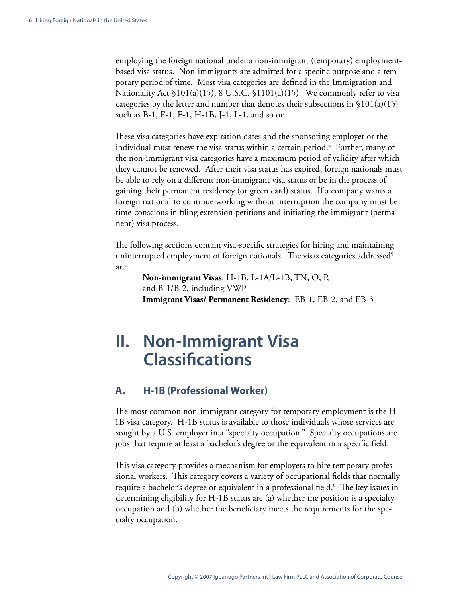employing the foreign national under a non-immigrant (temporary) employmentbased visa status. Non-immigrants are admitted for a specific purpose and a temporary period of time. Most visa categories are defined in the Immigration and Nationality Act §101(a)(15), 8 U.S.C. §1101(a)(15). We commonly refer to visa categories by the letter and number that denotes their subsections in  $$101(a)(15)$ such as B-1, E-1, F-1, H-1B, J-1, L-1, and so on.

These visa categories have expiration dates and the sponsoring employer or the individual must renew the visa status within a certain period.<sup>4</sup> Further, many of the non-immigrant visa categories have a maximum period of validity after which they cannot be renewed. After their visa status has expired, foreign nationals must be able to rely on a different non-immigrant visa status or be in the process of gaining their permanent residency (or green card) status. If a company wants a foreign national to continue working without interruption the company must be time-conscious in filing extension petitions and initiating the immigrant (permanent) visa process.

The following sections contain visa-specific strategies for hiring and maintaining uninterrupted employment of foreign nationals. The visas categories addressed<sup>5</sup> are:

**Non-immigrant Visas**: H-1B, L-1A/L-1B, TN, O, P, and B-1/B-2, including VWP **Immigrant Visas/ Permanent Residency**: EB-1, EB-2, and EB-3

# **II. Non-Immigrant Visa Classifications**

# **A. H-1B (Professional Worker)**

The most common non-immigrant category for temporary employment is the H-1B visa category. H-1B status is available to those individuals whose services are sought by a U.S. employer in a "specialty occupation." Specialty occupations are jobs that require at least a bachelor's degree or the equivalent in a specific field.

This visa category provides a mechanism for employers to hire temporary professional workers. This category covers a variety of occupational fields that normally require a bachelor's degree or equivalent in a professional field.6 The key issues in determining eligibility for H-1B status are (a) whether the position is a specialty occupation and (b) whether the beneficiary meets the requirements for the specialty occupation.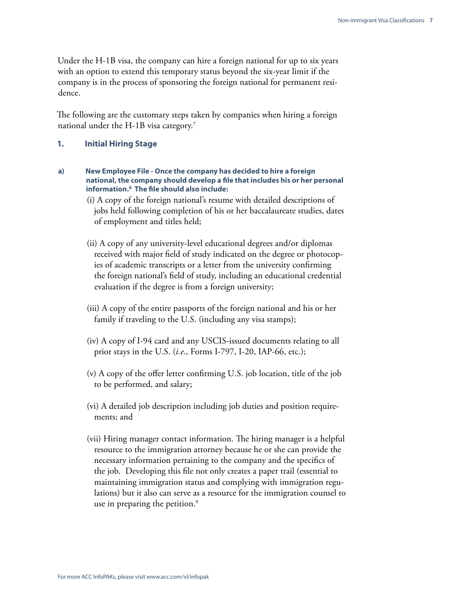Under the H-1B visa, the company can hire a foreign national for up to six years with an option to extend this temporary status beyond the six-year limit if the company is in the process of sponsoring the foreign national for permanent residence.

The following are the customary steps taken by companies when hiring a foreign national under the H-1B visa category.7

### **1. Initial Hiring Stage**

- **a) New Employee File - Once the company has decided to hire a foreign national, the company should develop a file that includes his or her personal information.8 The file should also include:**
	- (i) A copy of the foreign national's resume with detailed descriptions of jobs held following completion of his or her baccalaureate studies, dates of employment and titles held;
	- (ii) A copy of any university-level educational degrees and/or diplomas received with major field of study indicated on the degree or photocopies of academic transcripts or a letter from the university confirming the foreign national's field of study, including an educational credential evaluation if the degree is from a foreign university;
	- (iii) A copy of the entire passports of the foreign national and his or her family if traveling to the U.S. (including any visa stamps);
	- (iv) A copy of I-94 card and any USCIS-issued documents relating to all prior stays in the U.S. (*i.e*., Forms I-797, I-20, IAP-66, etc.);
	- (v) A copy of the offer letter confirming U.S. job location, title of the job to be performed, and salary;
	- (vi) A detailed job description including job duties and position requirements; and
	- (vii) Hiring manager contact information. The hiring manager is a helpful resource to the immigration attorney because he or she can provide the necessary information pertaining to the company and the specifics of the job. Developing this file not only creates a paper trail (essential to maintaining immigration status and complying with immigration regulations) but it also can serve as a resource for the immigration counsel to use in preparing the petition.<sup>9</sup>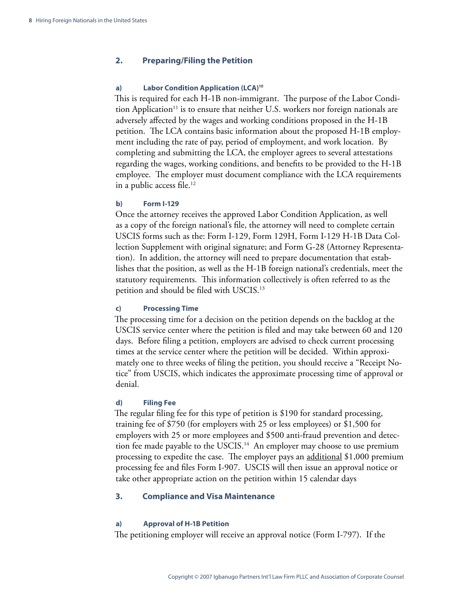### **2. Preparing/Filing the Petition**

### **a) Labor Condition Application (LCA)10**

This is required for each H-1B non-immigrant. The purpose of the Labor Condition Application<sup>11</sup> is to ensure that neither U.S. workers nor foreign nationals are adversely affected by the wages and working conditions proposed in the H-1B petition. The LCA contains basic information about the proposed H-1B employment including the rate of pay, period of employment, and work location. By completing and submitting the LCA, the employer agrees to several attestations regarding the wages, working conditions, and benefits to be provided to the H-1B employee. The employer must document compliance with the LCA requirements in a public access file.<sup>12</sup>

### **b) Form I-129**

Once the attorney receives the approved Labor Condition Application, as well as a copy of the foreign national's file, the attorney will need to complete certain USCIS forms such as the: Form I-129, Form 129H, Form I-129 H-1B Data Collection Supplement with original signature; and Form G-28 (Attorney Representation). In addition, the attorney will need to prepare documentation that establishes that the position, as well as the H-1B foreign national's credentials, meet the statutory requirements. This information collectively is often referred to as the petition and should be filed with USCIS.13

### **c) Processing Time**

The processing time for a decision on the petition depends on the backlog at the USCIS service center where the petition is filed and may take between 60 and 120 days. Before filing a petition, employers are advised to check current processing times at the service center where the petition will be decided. Within approximately one to three weeks of filing the petition, you should receive a "Receipt Notice" from USCIS, which indicates the approximate processing time of approval or denial.

#### **d) Filing Fee**

The regular filing fee for this type of petition is \$190 for standard processing, training fee of \$750 (for employers with 25 or less employees) or \$1,500 for employers with 25 or more employees and \$500 anti-fraud prevention and detection fee made payable to the USCIS.<sup>14</sup> An employer may choose to use premium processing to expedite the case. The employer pays an additional \$1,000 premium processing fee and files Form I-907. USCIS will then issue an approval notice or take other appropriate action on the petition within 15 calendar days

### **3. Compliance and Visa Maintenance**

#### **a) Approval of H-1B Petition**

The petitioning employer will receive an approval notice (Form I-797). If the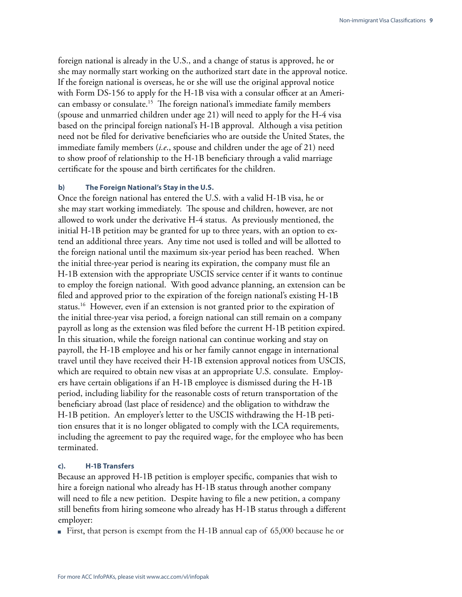foreign national is already in the U.S., and a change of status is approved, he or she may normally start working on the authorized start date in the approval notice. If the foreign national is overseas, he or she will use the original approval notice with Form DS-156 to apply for the H-1B visa with a consular officer at an American embassy or consulate.15 The foreign national's immediate family members (spouse and unmarried children under age 21) will need to apply for the H-4 visa based on the principal foreign national's H-1B approval. Although a visa petition need not be filed for derivative beneficiaries who are outside the United States, the immediate family members (*i.e*., spouse and children under the age of 21) need to show proof of relationship to the H-1B beneficiary through a valid marriage certificate for the spouse and birth certificates for the children.

#### **b) The Foreign National's Stay in the U.S.**

Once the foreign national has entered the U.S. with a valid H-1B visa, he or she may start working immediately. The spouse and children, however, are not allowed to work under the derivative H-4 status. As previously mentioned, the initial H-1B petition may be granted for up to three years, with an option to extend an additional three years. Any time not used is tolled and will be allotted to the foreign national until the maximum six-year period has been reached. When the initial three-year period is nearing its expiration, the company must file an H-1B extension with the appropriate USCIS service center if it wants to continue to employ the foreign national. With good advance planning, an extension can be filed and approved prior to the expiration of the foreign national's existing H-1B status.<sup>16</sup> However, even if an extension is not granted prior to the expiration of the initial three-year visa period, a foreign national can still remain on a company payroll as long as the extension was filed before the current H-1B petition expired. In this situation, while the foreign national can continue working and stay on payroll, the H-1B employee and his or her family cannot engage in international travel until they have received their H-1B extension approval notices from USCIS, which are required to obtain new visas at an appropriate U.S. consulate. Employers have certain obligations if an H-1B employee is dismissed during the H-1B period, including liability for the reasonable costs of return transportation of the beneficiary abroad (last place of residence) and the obligation to withdraw the H-1B petition. An employer's letter to the USCIS withdrawing the H-1B petition ensures that it is no longer obligated to comply with the LCA requirements, including the agreement to pay the required wage, for the employee who has been terminated.

#### **c). H-1B Transfers**

Because an approved H-1B petition is employer specific, companies that wish to hire a foreign national who already has H-1B status through another company will need to file a new petition. Despite having to file a new petition, a company still benefits from hiring someone who already has H-1B status through a different employer:

■ First, that person is exempt from the H-1B annual cap of 65,000 because he or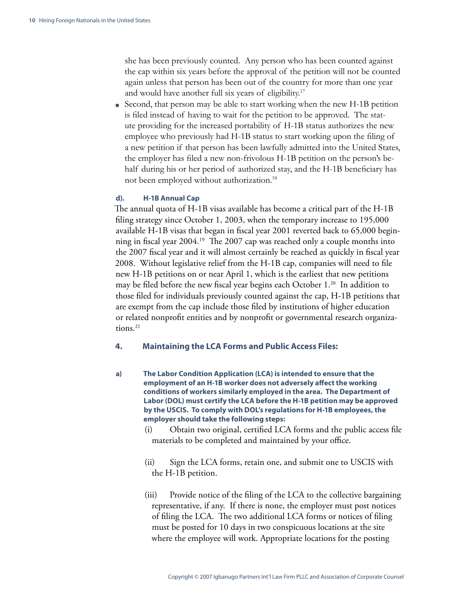she has been previously counted. Any person who has been counted against the cap within six years before the approval of the petition will not be counted again unless that person has been out of the country for more than one year and would have another full six years of eligibility.<sup>17</sup>

■ Second, that person may be able to start working when the new H-1B petition is filed instead of having to wait for the petition to be approved. The statute providing for the increased portability of H-1B status authorizes the new employee who previously had H-1B status to start working upon the filing of a new petition if that person has been lawfully admitted into the United States, the employer has filed a new non-frivolous H-1B petition on the person's behalf during his or her period of authorized stay, and the H-1B beneficiary has not been employed without authorization.18

### **d). H-1B Annual Cap**

The annual quota of H-1B visas available has become a critical part of the H-1B filing strategy since October 1, 2003, when the temporary increase to 195,000 available H-1B visas that began in fiscal year 2001 reverted back to 65,000 beginning in fiscal year 2004.<sup>19</sup> The 2007 cap was reached only a couple months into the 2007 fiscal year and it will almost certainly be reached as quickly in fiscal year 2008. Without legislative relief from the H-1B cap, companies will need to file new H-1B petitions on or near April 1, which is the earliest that new petitions may be filed before the new fiscal year begins each October 1.<sup>20</sup> In addition to those filed for individuals previously counted against the cap, H-1B petitions that are exempt from the cap include those filed by institutions of higher education or related nonprofit entities and by nonprofit or governmental research organizations.<sup>21</sup>

### **4. Maintaining the LCA Forms and Public Access Files:**

- **a) The Labor Condition Application (LCA) is intended to ensure that the employment of an H-1B worker does not adversely affect the working conditions of workers similarly employed in the area. The Department of Labor (DOL) must certify the LCA before the H-1B petition may be approved by the USCIS. To comply with DOL's regulations for H-1B employees, the employer should take the following steps:**
	- (i) Obtain two original, certified LCA forms and the public access file materials to be completed and maintained by your office.
	- (ii) Sign the LCA forms, retain one, and submit one to USCIS with the H-1B petition.
	- (iii) Provide notice of the filing of the LCA to the collective bargaining representative, if any. If there is none, the employer must post notices of filing the LCA. The two additional LCA forms or notices of filing must be posted for 10 days in two conspicuous locations at the site where the employee will work. Appropriate locations for the posting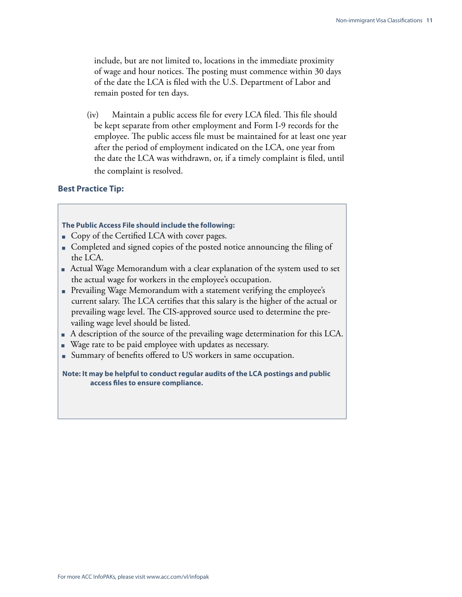include, but are not limited to, locations in the immediate proximity of wage and hour notices. The posting must commence within 30 days of the date the LCA is filed with the U.S. Department of Labor and remain posted for ten days.

(iv) Maintain a public access file for every LCA filed. This file should be kept separate from other employment and Form I-9 records for the employee. The public access file must be maintained for at least one year after the period of employment indicated on the LCA, one year from the date the LCA was withdrawn, or, if a timely complaint is filed, until the complaint is resolved.

### **Best Practice Tip:**

### **The Public Access File should include the following:**

- Copy of the Certified LCA with cover pages.
- Completed and signed copies of the posted notice announcing the filing of the LCA.
- Actual Wage Memorandum with a clear explanation of the system used to set the actual wage for workers in the employee's occupation.
- Prevailing Wage Memorandum with a statement verifying the employee's current salary. The LCA certifies that this salary is the higher of the actual or prevailing wage level. The CIS-approved source used to determine the prevailing wage level should be listed.
- A description of the source of the prevailing wage determination for this LCA. ■
- Wage rate to be paid employee with updates as necessary.
- Summary of benefits offered to US workers in same occupation.

**Note: It may be helpful to conduct regular audits of the LCA postings and public access files to ensure compliance.**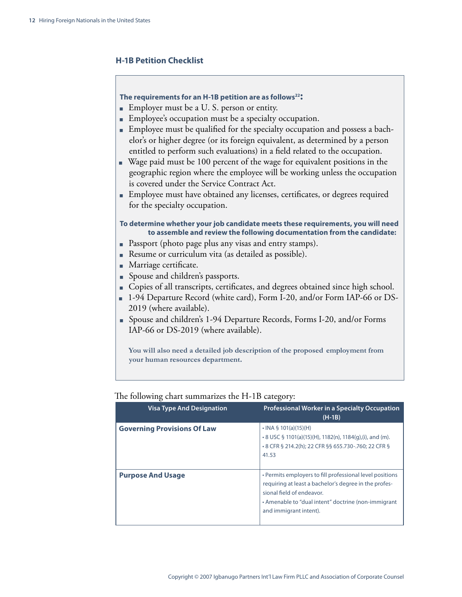### **H-1B Petition Checklist**

### **The requirements for an H-1B petition are as follows22:**

- Employer must be a U. S. person or entity.
- Employee's occupation must be a specialty occupation.
- Employee must be qualified for the specialty occupation and possess a bachelor's or higher degree (or its foreign equivalent, as determined by a person entitled to perform such evaluations) in a field related to the occupation.
- Wage paid must be 100 percent of the wage for equivalent positions in the geographic region where the employee will be working unless the occupation is covered under the Service Contract Act.
- Employee must have obtained any licenses, certificates, or degrees required for the specialty occupation.

**To determine whether your job candidate meets these requirements, you will need to assemble and review the following documentation from the candidate:**

- Passport (photo page plus any visas and entry stamps).
- Resume or curriculum vita (as detailed as possible).
- Marriage certificate.
- Spouse and children's passports.
- Copies of all transcripts, certificates, and degrees obtained since high school.
- 1-94 Departure Record (white card), Form I-20, and/or Form IAP-66 or DS-2019 (where available).
- Spouse and children's 1-94 Departure Records, Forms I-20, and/or Forms IAP-66 or DS-2019 (where available).

**You will also need a detailed job description of the proposed employment from your human resources department.**

| <b>Visa Type And Designation</b>   | <b>Professional Worker in a Specialty Occupation</b><br>$(H-1B)$                                                                                                                                                                |
|------------------------------------|---------------------------------------------------------------------------------------------------------------------------------------------------------------------------------------------------------------------------------|
| <b>Governing Provisions Of Law</b> | $\cdot$ INA § 101(a)(15)(H)<br>$\cdot$ 8 USC § 1101(a)(15)(H), 1182(n), 1184(g),(i), and (m).<br>• 8 CFR § 214.2(h); 22 CFR § § 655.730-.760; 22 CFR §<br>41.53                                                                 |
| <b>Purpose And Usage</b>           | • Permits employers to fill professional level positions<br>requiring at least a bachelor's degree in the profes-<br>sional field of endeavor.<br>• Amenable to "dual intent" doctrine (non-immigrant<br>and immigrant intent). |

### The following chart summarizes the H-1B category: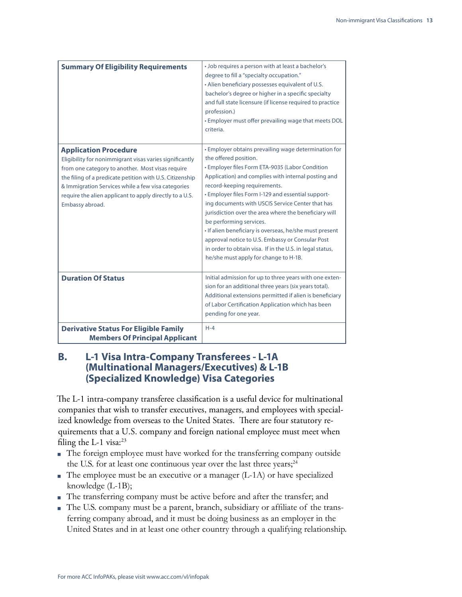| <b>Summary Of Eligibility Requirements</b><br><b>Application Procedure</b>                                                                                                                                                                                                                                  | • Job requires a person with at least a bachelor's<br>degree to fill a "specialty occupation."<br>. Alien beneficiary possesses equivalent of U.S.<br>bachelor's degree or higher in a specific specialty<br>and full state licensure (if license required to practice<br>profession.)<br>. Employer must offer prevailing wage that meets DOL<br>criteria.<br>• Employer obtains prevailing wage determination for                                                                                                                                                               |
|-------------------------------------------------------------------------------------------------------------------------------------------------------------------------------------------------------------------------------------------------------------------------------------------------------------|-----------------------------------------------------------------------------------------------------------------------------------------------------------------------------------------------------------------------------------------------------------------------------------------------------------------------------------------------------------------------------------------------------------------------------------------------------------------------------------------------------------------------------------------------------------------------------------|
| Eligibility for nonimmigrant visas varies significantly<br>from one category to another. Most visas require<br>the filing of a predicate petition with U.S. Citizenship<br>& Immigration Services while a few visa categories<br>require the alien applicant to apply directly to a U.S.<br>Embassy abroad. | the offered position.<br>• Employer files Form ETA-9035 (Labor Condition<br>Application) and complies with internal posting and<br>record-keeping requirements.<br>• Employer files Form I-129 and essential support-<br>ing documents with USCIS Service Center that has<br>jurisdiction over the area where the beneficiary will<br>be performing services.<br>· If alien beneficiary is overseas, he/she must present<br>approval notice to U.S. Embassy or Consular Post<br>in order to obtain visa. If in the U.S. in legal status,<br>he/she must apply for change to H-1B. |
| <b>Duration Of Status</b>                                                                                                                                                                                                                                                                                   | Initial admission for up to three years with one exten-<br>sion for an additional three years (six years total).<br>Additional extensions permitted if alien is beneficiary<br>of Labor Certification Application which has been<br>pending for one year.                                                                                                                                                                                                                                                                                                                         |
| <b>Derivative Status For Eligible Family</b><br><b>Members Of Principal Applicant</b>                                                                                                                                                                                                                       | $H - 4$                                                                                                                                                                                                                                                                                                                                                                                                                                                                                                                                                                           |

## **B. L-1 Visa Intra-Company Transferees - L-1A (Multinational Managers/Executives) & L-1B (Specialized Knowledge) Visa Categories**

The L-1 intra-company transferee classification is a useful device for multinational companies that wish to transfer executives, managers, and employees with specialized knowledge from overseas to the United States. There are four statutory requirements that a U.S. company and foreign national employee must meet when filing the L-1 visa: $23$ 

- The foreign employee must have worked for the transferring company outside the U.S. for at least one continuous year over the last three years;<sup>24</sup>
- The employee must be an executive or a manager (L-1A) or have specialized knowledge (L-1B);
- The transferring company must be active before and after the transfer; and
- The U.S. company must be a parent, branch, subsidiary or affiliate of the transferring company abroad, and it must be doing business as an employer in the United States and in at least one other country through a qualifying relationship.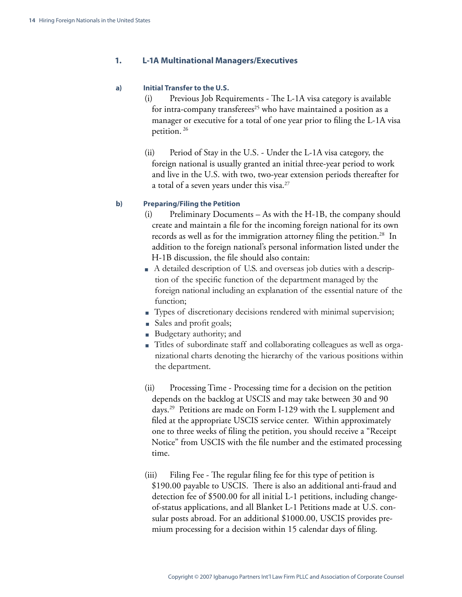### **1. L-1A Multinational Managers/Executives**

### **a) Initial Transfer to the U.S.**

- (i) Previous Job Requirements The L-1A visa category is available for intra-company transferees<sup>25</sup> who have maintained a position as a manager or executive for a total of one year prior to filing the L-1A visa petition. 26
- (ii) Period of Stay in the U.S. Under the L-1A visa category, the foreign national is usually granted an initial three-year period to work and live in the U.S. with two, two-year extension periods thereafter for a total of a seven years under this visa.<sup>27</sup>

### **b) Preparing/Filing the Petition**

- Preliminary Documents As with the H-1B, the company should create and maintain a file for the incoming foreign national for its own records as well as for the immigration attorney filing the petition.<sup>28</sup> In addition to the foreign national's personal information listed under the H-1B discussion, the file should also contain:
- A detailed description of U.S. and overseas job duties with a description of the specific function of the department managed by the foreign national including an explanation of the essential nature of the function;
- Types of discretionary decisions rendered with minimal supervision; ■
- Sales and profit goals; ■
- Budgetary authority; and ■
- Titles of subordinate staff and collaborating colleagues as well as organizational charts denoting the hierarchy of the various positions within the department.
- (ii) Processing Time Processing time for a decision on the petition depends on the backlog at USCIS and may take between 30 and 90 days.29 Petitions are made on Form I-129 with the L supplement and filed at the appropriate USCIS service center. Within approximately one to three weeks of filing the petition, you should receive a "Receipt Notice" from USCIS with the file number and the estimated processing time.
- (iii) Filing Fee The regular filing fee for this type of petition is \$190.00 payable to USCIS. There is also an additional anti-fraud and detection fee of \$500.00 for all initial L-1 petitions, including changeof-status applications, and all Blanket L-1 Petitions made at U.S. consular posts abroad. For an additional \$1000.00, USCIS provides premium processing for a decision within 15 calendar days of filing.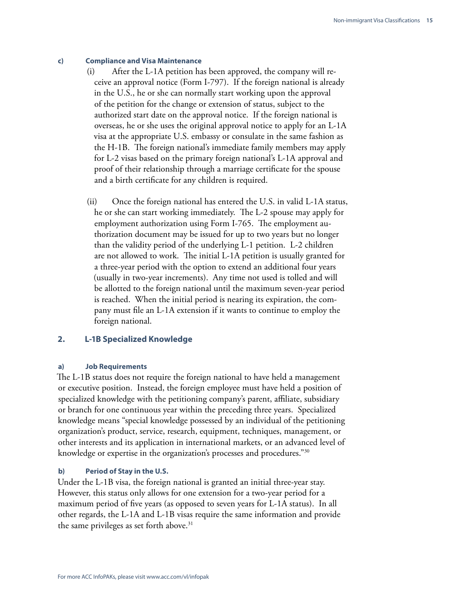#### **c) Compliance and Visa Maintenance**

- (i) After the L-1A petition has been approved, the company will receive an approval notice (Form I-797). If the foreign national is already in the U.S., he or she can normally start working upon the approval of the petition for the change or extension of status, subject to the authorized start date on the approval notice. If the foreign national is overseas, he or she uses the original approval notice to apply for an L-1A visa at the appropriate U.S. embassy or consulate in the same fashion as the H-1B. The foreign national's immediate family members may apply for L-2 visas based on the primary foreign national's L-1A approval and proof of their relationship through a marriage certificate for the spouse and a birth certificate for any children is required.
- (ii) Once the foreign national has entered the U.S. in valid L-1A status, he or she can start working immediately. The L-2 spouse may apply for employment authorization using Form I-765. The employment authorization document may be issued for up to two years but no longer than the validity period of the underlying L-1 petition. L-2 children are not allowed to work. The initial L-1A petition is usually granted for a three-year period with the option to extend an additional four years (usually in two-year increments). Any time not used is tolled and will be allotted to the foreign national until the maximum seven-year period is reached. When the initial period is nearing its expiration, the company must file an L-1A extension if it wants to continue to employ the foreign national.

### **2. L-1B Specialized Knowledge**

#### **a) Job Requirements**

The L-1B status does not require the foreign national to have held a management or executive position. Instead, the foreign employee must have held a position of specialized knowledge with the petitioning company's parent, affiliate, subsidiary or branch for one continuous year within the preceding three years. Specialized knowledge means "special knowledge possessed by an individual of the petitioning organization's product, service, research, equipment, techniques, management, or other interests and its application in international markets, or an advanced level of knowledge or expertise in the organization's processes and procedures."30

#### **b) Period of Stay in the U.S.**

Under the L-1B visa, the foreign national is granted an initial three-year stay. However, this status only allows for one extension for a two-year period for a maximum period of five years (as opposed to seven years for L-1A status). In all other regards, the L-1A and L-1B visas require the same information and provide the same privileges as set forth above.<sup>31</sup>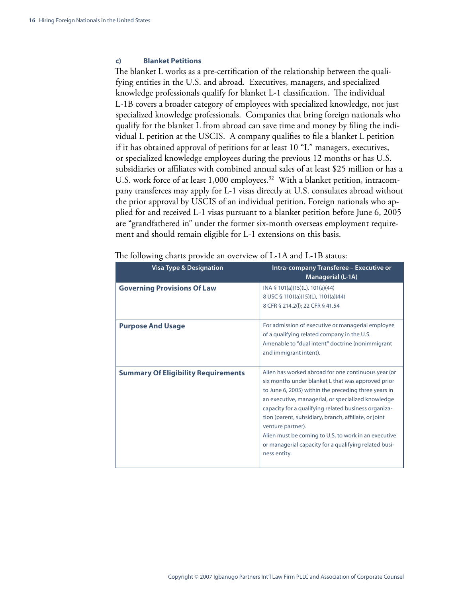### **c) Blanket Petitions**

The blanket L works as a pre-certification of the relationship between the qualifying entities in the U.S. and abroad. Executives, managers, and specialized knowledge professionals qualify for blanket L-1 classification. The individual L-1B covers a broader category of employees with specialized knowledge, not just specialized knowledge professionals. Companies that bring foreign nationals who qualify for the blanket L from abroad can save time and money by filing the individual L petition at the USCIS. A company qualifies to file a blanket L petition if it has obtained approval of petitions for at least 10 "L" managers, executives, or specialized knowledge employees during the previous 12 months or has U.S. subsidiaries or affiliates with combined annual sales of at least \$25 million or has a U.S. work force of at least 1,000 employees.<sup>32</sup> With a blanket petition, intracompany transferees may apply for L-1 visas directly at U.S. consulates abroad without the prior approval by USCIS of an individual petition. Foreign nationals who applied for and received L-1 visas pursuant to a blanket petition before June 6, 2005 are "grandfathered in" under the former six-month overseas employment requirement and should remain eligible for L-1 extensions on this basis.

| <b>Visa Type &amp; Designation</b>         | Intra-company Transferee – Executive or<br><b>Managerial (L-1A)</b>                                                                                                                                                                                                                                                                                                                                                                                                                            |
|--------------------------------------------|------------------------------------------------------------------------------------------------------------------------------------------------------------------------------------------------------------------------------------------------------------------------------------------------------------------------------------------------------------------------------------------------------------------------------------------------------------------------------------------------|
| <b>Governing Provisions Of Law</b>         | INA § $101(a)(15)(L)$ , $101(a)(44)$<br>8 USC § 1101(a)(15)(L), 1101(a)(44)<br>8 CFR § 214.2(l); 22 CFR § 41.54                                                                                                                                                                                                                                                                                                                                                                                |
| <b>Purpose And Usage</b>                   | For admission of executive or managerial employee<br>of a qualifying related company in the U.S.<br>Amenable to "dual intent" doctrine (nonimmigrant<br>and immigrant intent).                                                                                                                                                                                                                                                                                                                 |
| <b>Summary Of Eligibility Requirements</b> | Alien has worked abroad for one continuous year (or<br>six months under blanket L that was approved prior<br>to June 6, 2005) within the preceding three years in<br>an executive, managerial, or specialized knowledge<br>capacity for a qualifying related business organiza-<br>tion (parent, subsidiary, branch, affiliate, or joint<br>venture partner).<br>Alien must be coming to U.S. to work in an executive<br>or managerial capacity for a qualifying related busi-<br>ness entity. |

The following charts provide an overview of L-1A and L-1B status: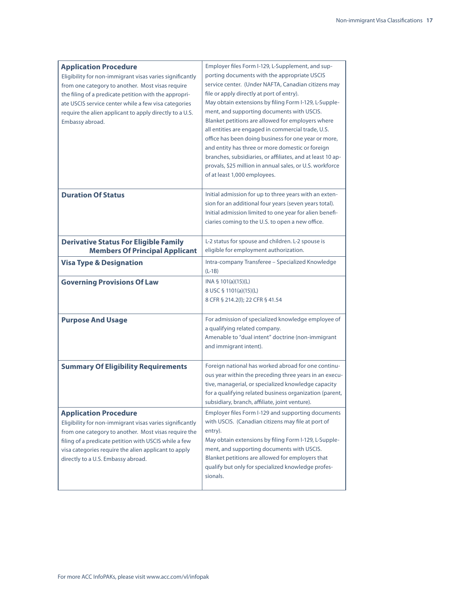| <b>Application Procedure</b><br>Eligibility for non-immigrant visas varies significantly<br>from one category to another. Most visas require<br>the filing of a predicate petition with the appropri-<br>ate USCIS service center while a few visa categories<br>require the alien applicant to apply directly to a U.S.<br>Embassy abroad. | Employer files Form I-129, L-Supplement, and sup-<br>porting documents with the appropriate USCIS<br>service center. (Under NAFTA, Canadian citizens may<br>file or apply directly at port of entry).<br>May obtain extensions by filing Form I-129, L-Supple-<br>ment, and supporting documents with USCIS.<br>Blanket petitions are allowed for employers where<br>all entities are engaged in commercial trade, U.S.<br>office has been doing business for one year or more,<br>and entity has three or more domestic or foreign<br>branches, subsidiaries, or affiliates, and at least 10 ap-<br>provals, \$25 million in annual sales, or U.S. workforce<br>of at least 1,000 employees. |
|---------------------------------------------------------------------------------------------------------------------------------------------------------------------------------------------------------------------------------------------------------------------------------------------------------------------------------------------|-----------------------------------------------------------------------------------------------------------------------------------------------------------------------------------------------------------------------------------------------------------------------------------------------------------------------------------------------------------------------------------------------------------------------------------------------------------------------------------------------------------------------------------------------------------------------------------------------------------------------------------------------------------------------------------------------|
| <b>Duration Of Status</b>                                                                                                                                                                                                                                                                                                                   | Initial admission for up to three years with an exten-<br>sion for an additional four years (seven years total).<br>Initial admission limited to one year for alien benefi-<br>ciaries coming to the U.S. to open a new office.                                                                                                                                                                                                                                                                                                                                                                                                                                                               |
| <b>Derivative Status For Eligible Family</b><br><b>Members Of Principal Applicant</b>                                                                                                                                                                                                                                                       | L-2 status for spouse and children. L-2 spouse is<br>eligible for employment authorization.                                                                                                                                                                                                                                                                                                                                                                                                                                                                                                                                                                                                   |
| <b>Visa Type &amp; Designation</b>                                                                                                                                                                                                                                                                                                          | Intra-company Transferee - Specialized Knowledge<br>$(L-1B)$                                                                                                                                                                                                                                                                                                                                                                                                                                                                                                                                                                                                                                  |
| <b>Governing Provisions Of Law</b>                                                                                                                                                                                                                                                                                                          | INA § $101(a)(15)(L)$<br>8 USC § 1101(a)(15)(L)<br>8 CFR § 214.2(l); 22 CFR § 41.54                                                                                                                                                                                                                                                                                                                                                                                                                                                                                                                                                                                                           |
| <b>Purpose And Usage</b>                                                                                                                                                                                                                                                                                                                    | For admission of specialized knowledge employee of<br>a qualifying related company.<br>Amenable to "dual intent" doctrine (non-immigrant<br>and immigrant intent).                                                                                                                                                                                                                                                                                                                                                                                                                                                                                                                            |
| <b>Summary Of Eligibility Requirements</b>                                                                                                                                                                                                                                                                                                  | Foreign national has worked abroad for one continu-<br>ous year within the preceding three years in an execu-<br>tive, managerial, or specialized knowledge capacity<br>for a qualifying related business organization (parent,<br>subsidiary, branch, affiliate, joint venture).                                                                                                                                                                                                                                                                                                                                                                                                             |
| <b>Application Procedure</b><br>Eligibility for non-immigrant visas varies significantly<br>from one category to another. Most visas require the<br>filing of a predicate petition with USCIS while a few<br>visa categories require the alien applicant to apply<br>directly to a U.S. Embassy abroad.                                     | Employer files Form I-129 and supporting documents<br>with USCIS. (Canadian citizens may file at port of<br>entry).<br>May obtain extensions by filing Form I-129, L-Supple-<br>ment, and supporting documents with USCIS.<br>Blanket petitions are allowed for employers that<br>qualify but only for specialized knowledge profes-<br>sionals.                                                                                                                                                                                                                                                                                                                                              |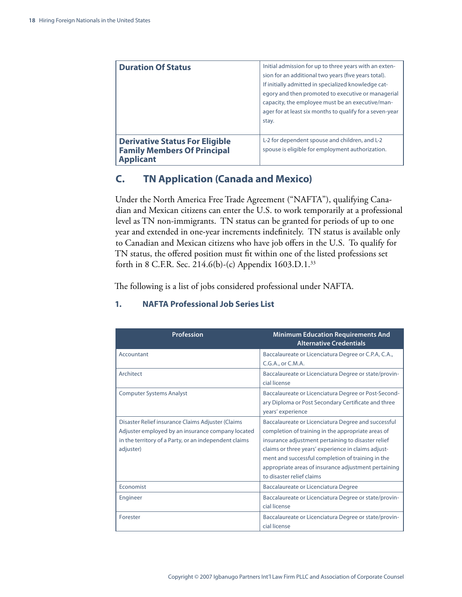| <b>Duration Of Status</b>                                                                       | Initial admission for up to three years with an exten-<br>sion for an additional two years (five years total).<br>If initially admitted in specialized knowledge cat-<br>egory and then promoted to executive or managerial<br>capacity, the employee must be an executive/man-<br>ager for at least six months to qualify for a seven-year<br>stay. |
|-------------------------------------------------------------------------------------------------|------------------------------------------------------------------------------------------------------------------------------------------------------------------------------------------------------------------------------------------------------------------------------------------------------------------------------------------------------|
| <b>Derivative Status For Eligible</b><br><b>Family Members Of Principal</b><br><b>Applicant</b> | L-2 for dependent spouse and children, and L-2<br>spouse is eligible for employment authorization.                                                                                                                                                                                                                                                   |

# **C. TN Application (Canada and Mexico)**

Under the North America Free Trade Agreement ("NAFTA"), qualifying Canadian and Mexican citizens can enter the U.S. to work temporarily at a professional level as TN non-immigrants. TN status can be granted for periods of up to one year and extended in one-year increments indefinitely. TN status is available only to Canadian and Mexican citizens who have job offers in the U.S. To qualify for TN status, the offered position must fit within one of the listed professions set forth in 8 C.F.R. Sec. 214.6(b)-(c) Appendix 1603.D.1.33

The following is a list of jobs considered professional under NAFTA.

| <b>Profession</b>                                                                                                                                                            | <b>Minimum Education Requirements And</b><br><b>Alternative Credentials</b>                                                                                                                                                                                                                                                                                      |
|------------------------------------------------------------------------------------------------------------------------------------------------------------------------------|------------------------------------------------------------------------------------------------------------------------------------------------------------------------------------------------------------------------------------------------------------------------------------------------------------------------------------------------------------------|
| Accountant                                                                                                                                                                   | Baccalaureate or Licenciatura Degree or C.P.A, C.A.,<br>C.G.A., or C.M.A.                                                                                                                                                                                                                                                                                        |
| Architect                                                                                                                                                                    | Baccalaureate or Licenciatura Degree or state/provin-<br>cial license                                                                                                                                                                                                                                                                                            |
| <b>Computer Systems Analyst</b>                                                                                                                                              | Baccalaureate or Licenciatura Degree or Post-Second-<br>ary Diploma or Post Secondary Certificate and three<br>years' experience                                                                                                                                                                                                                                 |
| Disaster Relief insurance Claims Adjuster (Claims<br>Adjuster employed by an insurance company located<br>in the territory of a Party, or an independent claims<br>adjuster) | Baccalaureate or Licenciatura Degree and successful<br>completion of training in the appropriate areas of<br>insurance adjustment pertaining to disaster relief<br>claims or three years' experience in claims adjust-<br>ment and successful completion of training in the<br>appropriate areas of insurance adjustment pertaining<br>to disaster relief claims |
| Economist                                                                                                                                                                    | Baccalaureate or Licenciatura Degree                                                                                                                                                                                                                                                                                                                             |
| Engineer                                                                                                                                                                     | Baccalaureate or Licenciatura Degree or state/provin-<br>cial license                                                                                                                                                                                                                                                                                            |
| Forester                                                                                                                                                                     | Baccalaureate or Licenciatura Degree or state/provin-<br>cial license                                                                                                                                                                                                                                                                                            |

### **1. NAFTA Professional Job Series List**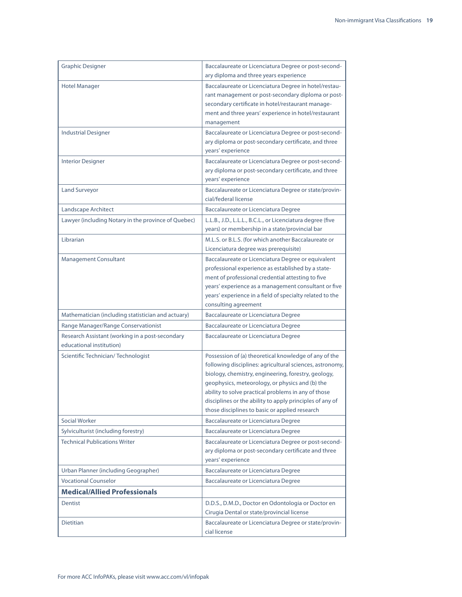| <b>Graphic Designer</b>                                                     | Baccalaureate or Licenciatura Degree or post-second-<br>ary diploma and three years experience                                                                                                                                                                                                                                                                                                   |
|-----------------------------------------------------------------------------|--------------------------------------------------------------------------------------------------------------------------------------------------------------------------------------------------------------------------------------------------------------------------------------------------------------------------------------------------------------------------------------------------|
| <b>Hotel Manager</b>                                                        | Baccalaureate or Licenciatura Degree in hotel/restau-<br>rant management or post-secondary diploma or post-<br>secondary certificate in hotel/restaurant manage-<br>ment and three years' experience in hotel/restaurant<br>management                                                                                                                                                           |
| <b>Industrial Designer</b>                                                  | Baccalaureate or Licenciatura Degree or post-second-<br>ary diploma or post-secondary certificate, and three<br>years' experience                                                                                                                                                                                                                                                                |
| <b>Interior Designer</b>                                                    | Baccalaureate or Licenciatura Degree or post-second-<br>ary diploma or post-secondary certificate, and three<br>years' experience                                                                                                                                                                                                                                                                |
| <b>Land Surveyor</b>                                                        | Baccalaureate or Licenciatura Degree or state/provin-<br>cial/federal license                                                                                                                                                                                                                                                                                                                    |
| Landscape Architect                                                         | Baccalaureate or Licenciatura Degree                                                                                                                                                                                                                                                                                                                                                             |
| Lawyer (including Notary in the province of Quebec)                         | L.L.B., J.D., L.L.L., B.C.L., or Licenciatura degree (five<br>years) or membership in a state/provincial bar                                                                                                                                                                                                                                                                                     |
| Librarian                                                                   | M.L.S. or B.L.S. (for which another Baccalaureate or<br>Licenciatura degree was prerequisite)                                                                                                                                                                                                                                                                                                    |
| <b>Management Consultant</b>                                                | Baccalaureate or Licenciatura Degree or equivalent<br>professional experience as established by a state-<br>ment of professional credential attesting to five<br>years' experience as a management consultant or five<br>years' experience in a field of specialty related to the<br>consulting agreement                                                                                        |
| Mathematician (including statistician and actuary)                          | Baccalaureate or Licenciatura Degree                                                                                                                                                                                                                                                                                                                                                             |
| Range Manager/Range Conservationist                                         | Baccalaureate or Licenciatura Degree                                                                                                                                                                                                                                                                                                                                                             |
| Research Assistant (working in a post-secondary<br>educational institution) | Baccalaureate or Licenciatura Degree                                                                                                                                                                                                                                                                                                                                                             |
| Scientific Technician/Technologist                                          | Possession of (a) theoretical knowledge of any of the<br>following disciplines: agricultural sciences, astronomy,<br>biology, chemistry, engineering, forestry, geology,<br>geophysics, meteorology, or physics and (b) the<br>ability to solve practical problems in any of those<br>disciplines or the ability to apply principles of any of<br>those disciplines to basic or applied research |
| Social Worker                                                               | Baccalaureate or Licenciatura Degree                                                                                                                                                                                                                                                                                                                                                             |
| Sylviculturist (including forestry)                                         | Baccalaureate or Licenciatura Degree                                                                                                                                                                                                                                                                                                                                                             |
| <b>Technical Publications Writer</b>                                        | Baccalaureate or Licenciatura Degree or post-second-<br>ary diploma or post-secondary certificate and three<br>years' experience                                                                                                                                                                                                                                                                 |
| Urban Planner (including Geographer)                                        | Baccalaureate or Licenciatura Degree                                                                                                                                                                                                                                                                                                                                                             |
| <b>Vocational Counselor</b>                                                 | Baccalaureate or Licenciatura Degree                                                                                                                                                                                                                                                                                                                                                             |
| <b>Medical/Allied Professionals</b>                                         |                                                                                                                                                                                                                                                                                                                                                                                                  |
| Dentist                                                                     | D.D.S., D.M.D., Doctor en Odontologia or Doctor en<br>Cirugia Dental or state/provincial license                                                                                                                                                                                                                                                                                                 |
| <b>Dietitian</b>                                                            | Baccalaureate or Licenciatura Degree or state/provin-<br>cial license                                                                                                                                                                                                                                                                                                                            |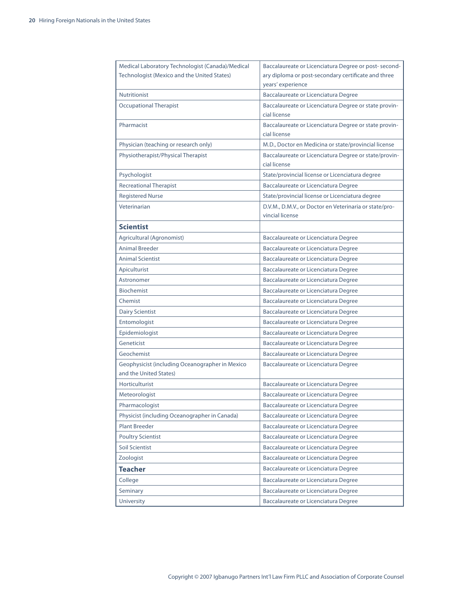| Medical Laboratory Technologist (Canada)/Medical<br>Technologist (Mexico and the United States) | Baccalaureate or Licenciatura Degree or post-second-<br>ary diploma or post-secondary certificate and three |
|-------------------------------------------------------------------------------------------------|-------------------------------------------------------------------------------------------------------------|
|                                                                                                 | years' experience                                                                                           |
| <b>Nutritionist</b>                                                                             | Baccalaureate or Licenciatura Degree                                                                        |
| <b>Occupational Therapist</b>                                                                   | Baccalaureate or Licenciatura Degree or state provin-<br>cial license                                       |
| Pharmacist                                                                                      | Baccalaureate or Licenciatura Degree or state provin-<br>cial license                                       |
| Physician (teaching or research only)                                                           | M.D., Doctor en Medicina or state/provincial license                                                        |
| Physiotherapist/Physical Therapist                                                              | Baccalaureate or Licenciatura Degree or state/provin-<br>cial license                                       |
| Psychologist                                                                                    | State/provincial license or Licenciatura degree                                                             |
| <b>Recreational Therapist</b>                                                                   | Baccalaureate or Licenciatura Degree                                                                        |
| <b>Registered Nurse</b>                                                                         | State/provincial license or Licenciatura degree                                                             |
| Veterinarian                                                                                    | D.V.M., D.M.V., or Doctor en Veterinaria or state/pro-<br>vincial license                                   |
| <b>Scientist</b>                                                                                |                                                                                                             |
| Agricultural (Agronomist)                                                                       | Baccalaureate or Licenciatura Degree                                                                        |
| <b>Animal Breeder</b>                                                                           | Baccalaureate or Licenciatura Degree                                                                        |
| <b>Animal Scientist</b>                                                                         | Baccalaureate or Licenciatura Degree                                                                        |
| Apiculturist                                                                                    | Baccalaureate or Licenciatura Degree                                                                        |
| Astronomer                                                                                      | Baccalaureate or Licenciatura Degree                                                                        |
| <b>Biochemist</b>                                                                               | Baccalaureate or Licenciatura Degree                                                                        |
| Chemist                                                                                         | Baccalaureate or Licenciatura Degree                                                                        |
| <b>Dairy Scientist</b>                                                                          | Baccalaureate or Licenciatura Degree                                                                        |
| Entomologist                                                                                    | Baccalaureate or Licenciatura Degree                                                                        |
| Epidemiologist                                                                                  | Baccalaureate or Licenciatura Degree                                                                        |
| Geneticist                                                                                      | Baccalaureate or Licenciatura Degree                                                                        |
| Geochemist                                                                                      | Baccalaureate or Licenciatura Degree                                                                        |
| Geophysicist (including Oceanographer in Mexico<br>and the United States)                       | Baccalaureate or Licenciatura Degree                                                                        |
| Horticulturist                                                                                  | Baccalaureate or Licenciatura Degree                                                                        |
| Meteorologist                                                                                   | Baccalaureate or Licenciatura Degree                                                                        |
| Pharmacologist                                                                                  | Baccalaureate or Licenciatura Degree                                                                        |
| Physicist (including Oceanographer in Canada)                                                   | Baccalaureate or Licenciatura Degree                                                                        |
| <b>Plant Breeder</b>                                                                            | Baccalaureate or Licenciatura Degree                                                                        |
| <b>Poultry Scientist</b>                                                                        | Baccalaureate or Licenciatura Degree                                                                        |
| Soil Scientist                                                                                  | Baccalaureate or Licenciatura Degree                                                                        |
| Zoologist                                                                                       | Baccalaureate or Licenciatura Degree                                                                        |
| <b>Teacher</b>                                                                                  | Baccalaureate or Licenciatura Degree                                                                        |
| College                                                                                         | Baccalaureate or Licenciatura Degree                                                                        |
| Seminary                                                                                        | Baccalaureate or Licenciatura Degree                                                                        |
| University                                                                                      | Baccalaureate or Licenciatura Degree                                                                        |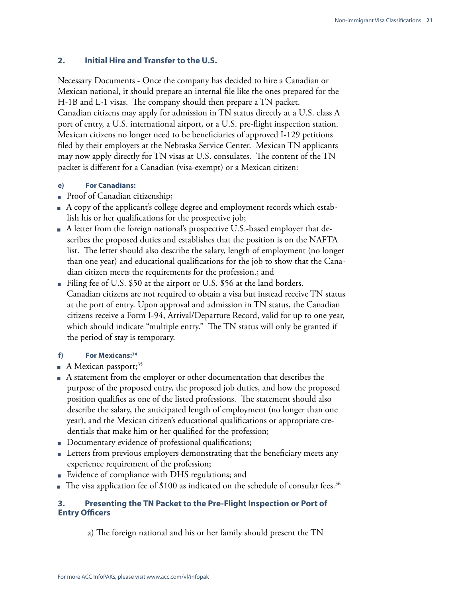### **2. Initial Hire and Transfer to the U.S.**

Necessary Documents - Once the company has decided to hire a Canadian or Mexican national, it should prepare an internal file like the ones prepared for the H-1B and L-1 visas. The company should then prepare a TN packet. Canadian citizens may apply for admission in TN status directly at a U.S. class A port of entry, a U.S. international airport, or a U.S. pre-flight inspection station. Mexican citizens no longer need to be beneficiaries of approved I-129 petitions filed by their employers at the Nebraska Service Center. Mexican TN applicants may now apply directly for TN visas at U.S. consulates. The content of the TN packet is different for a Canadian (visa-exempt) or a Mexican citizen:

### **e) For Canadians:**

- Proof of Canadian citizenship;
- A copy of the applicant's college degree and employment records which establish his or her qualifications for the prospective job;
- A letter from the foreign national's prospective U.S.-based employer that describes the proposed duties and establishes that the position is on the NAFTA list. The letter should also describe the salary, length of employment (no longer than one year) and educational qualifications for the job to show that the Canadian citizen meets the requirements for the profession.; and
- Filing fee of U.S. \$50 at the airport or U.S. \$56 at the land borders. Canadian citizens are not required to obtain a visa but instead receive TN status at the port of entry. Upon approval and admission in TN status, the Canadian citizens receive a Form I-94, Arrival/Departure Record, valid for up to one year, which should indicate "multiple entry." The TN status will only be granted if the period of stay is temporary.

### **f) For Mexicans:34**

- $\blacksquare$  A Mexican passport;<sup>35</sup>
- A statement from the employer or other documentation that describes the purpose of the proposed entry, the proposed job duties, and how the proposed position qualifies as one of the listed professions. The statement should also describe the salary, the anticipated length of employment (no longer than one year), and the Mexican citizen's educational qualifications or appropriate credentials that make him or her qualified for the profession;
- Documentary evidence of professional qualifications;
- Letters from previous employers demonstrating that the beneficiary meets any experience requirement of the profession;
- Evidence of compliance with DHS regulations; and
- $\blacksquare$  The visa application fee of \$100 as indicated on the schedule of consular fees.<sup>36</sup>

### **3. Presenting the TN Packet to the Pre-Flight Inspection or Port of Entry Officers**

a) The foreign national and his or her family should present the TN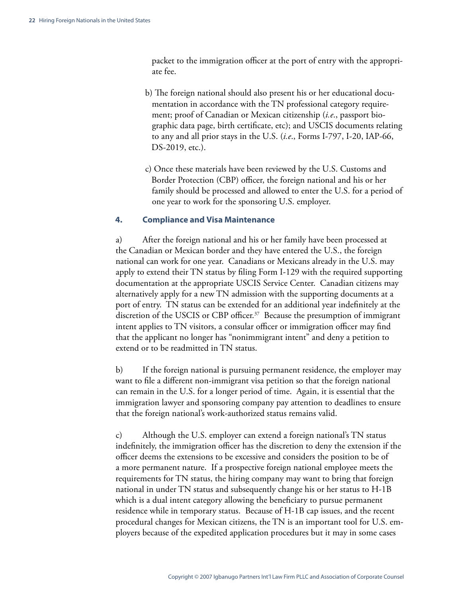packet to the immigration officer at the port of entry with the appropriate fee.

- b) The foreign national should also present his or her educational documentation in accordance with the TN professional category requirement; proof of Canadian or Mexican citizenship (*i.e*., passport biographic data page, birth certificate, etc); and USCIS documents relating to any and all prior stays in the U.S. (*i.e*., Forms I-797, I-20, IAP-66, DS-2019, etc.).
- c) Once these materials have been reviewed by the U.S. Customs and Border Protection (CBP) officer, the foreign national and his or her family should be processed and allowed to enter the U.S. for a period of one year to work for the sponsoring U.S. employer.

### **4. Compliance and Visa Maintenance**

a) After the foreign national and his or her family have been processed at the Canadian or Mexican border and they have entered the U.S., the foreign national can work for one year. Canadians or Mexicans already in the U.S. may apply to extend their TN status by filing Form I-129 with the required supporting documentation at the appropriate USCIS Service Center. Canadian citizens may alternatively apply for a new TN admission with the supporting documents at a port of entry. TN status can be extended for an additional year indefinitely at the discretion of the USCIS or CBP officer.<sup>37</sup> Because the presumption of immigrant intent applies to TN visitors, a consular officer or immigration officer may find that the applicant no longer has "nonimmigrant intent" and deny a petition to extend or to be readmitted in TN status.

b) If the foreign national is pursuing permanent residence, the employer may want to file a different non-immigrant visa petition so that the foreign national can remain in the U.S. for a longer period of time. Again, it is essential that the immigration lawyer and sponsoring company pay attention to deadlines to ensure that the foreign national's work-authorized status remains valid.

c) Although the U.S. employer can extend a foreign national's TN status indefinitely, the immigration officer has the discretion to deny the extension if the officer deems the extensions to be excessive and considers the position to be of a more permanent nature. If a prospective foreign national employee meets the requirements for TN status, the hiring company may want to bring that foreign national in under TN status and subsequently change his or her status to H-1B which is a dual intent category allowing the beneficiary to pursue permanent residence while in temporary status. Because of H-1B cap issues, and the recent procedural changes for Mexican citizens, the TN is an important tool for U.S. employers because of the expedited application procedures but it may in some cases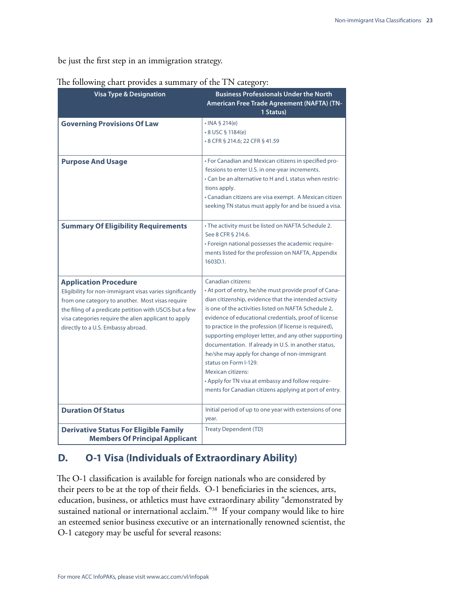be just the first step in an immigration strategy.

| <b>Visa Type &amp; Designation</b>                                                                                                                                                                                                                                                                    | <b>Business Professionals Under the North</b><br>American Free Trade Agreement (NAFTA) (TN-<br>1 Status)                                                                                                                                                                                                                                                                                                                                                                                                                                                                                                                                        |
|-------------------------------------------------------------------------------------------------------------------------------------------------------------------------------------------------------------------------------------------------------------------------------------------------------|-------------------------------------------------------------------------------------------------------------------------------------------------------------------------------------------------------------------------------------------------------------------------------------------------------------------------------------------------------------------------------------------------------------------------------------------------------------------------------------------------------------------------------------------------------------------------------------------------------------------------------------------------|
| <b>Governing Provisions Of Law</b>                                                                                                                                                                                                                                                                    | $\cdot$ INA § 214(e)<br>• 8 USC § 1184(e)<br>• 8 CFR § 214.6; 22 CFR § 41.59                                                                                                                                                                                                                                                                                                                                                                                                                                                                                                                                                                    |
| <b>Purpose And Usage</b>                                                                                                                                                                                                                                                                              | • For Canadian and Mexican citizens in specified pro-<br>fessions to enter U.S. in one-year increments.<br>• Can be an alternative to H and L status when restric-<br>tions apply.<br>• Canadian citizens are visa exempt. A Mexican citizen<br>seeking TN status must apply for and be issued a visa.                                                                                                                                                                                                                                                                                                                                          |
| <b>Summary Of Eligibility Requirements</b>                                                                                                                                                                                                                                                            | • The activity must be listed on NAFTA Schedule 2.<br>See 8 CFR § 214.6.<br>• Foreign national possesses the academic require-<br>ments listed for the profession on NAFTA, Appendix<br>1603D.1.                                                                                                                                                                                                                                                                                                                                                                                                                                                |
| <b>Application Procedure</b><br>Eligibility for non-immigrant visas varies significantly<br>from one category to another. Most visas require<br>the filing of a predicate petition with USCIS but a few<br>visa categories require the alien applicant to apply<br>directly to a U.S. Embassy abroad. | Canadian citizens:<br>• At port of entry, he/she must provide proof of Cana-<br>dian citizenship, evidence that the intended activity<br>is one of the activities listed on NAFTA Schedule 2,<br>evidence of educational credentials, proof of license<br>to practice in the profession (if license is required),<br>supporting employer letter, and any other supporting<br>documentation. If already in U.S. in another status,<br>he/she may apply for change of non-immigrant<br>status on Form I-129.<br>Mexican citizens:<br>• Apply for TN visa at embassy and follow require-<br>ments for Canadian citizens applying at port of entry. |
| <b>Duration Of Status</b>                                                                                                                                                                                                                                                                             | Initial period of up to one year with extensions of one<br>year.                                                                                                                                                                                                                                                                                                                                                                                                                                                                                                                                                                                |
| <b>Derivative Status For Eligible Family</b><br><b>Members Of Principal Applicant</b>                                                                                                                                                                                                                 | Treaty Dependent (TD)                                                                                                                                                                                                                                                                                                                                                                                                                                                                                                                                                                                                                           |

### The following chart provides a summary of the TN category:

# **D. O-1 Visa (Individuals of Extraordinary Ability)**

The O-1 classification is available for foreign nationals who are considered by their peers to be at the top of their fields. O-1 beneficiaries in the sciences, arts, education, business, or athletics must have extraordinary ability "demonstrated by sustained national or international acclaim."<sup>38</sup> If your company would like to hire an esteemed senior business executive or an internationally renowned scientist, the O-1 category may be useful for several reasons: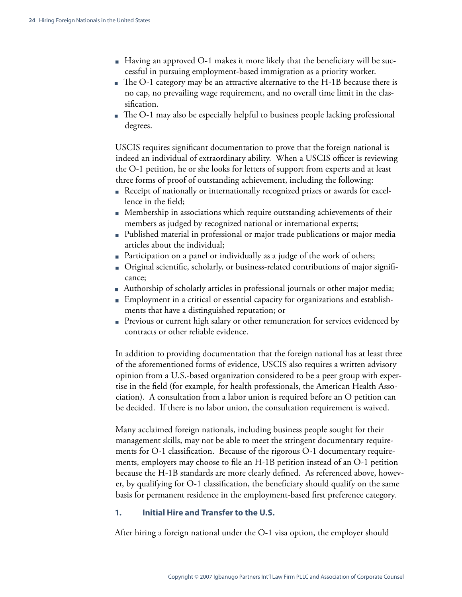- $\blacksquare$  Having an approved O-1 makes it more likely that the beneficiary will be successful in pursuing employment-based immigration as a priority worker.
- The O-1 category may be an attractive alternative to the H-1B because there is no cap, no prevailing wage requirement, and no overall time limit in the classification.
- The O-1 may also be especially helpful to business people lacking professional degrees.

USCIS requires significant documentation to prove that the foreign national is indeed an individual of extraordinary ability. When a USCIS officer is reviewing the O-1 petition, he or she looks for letters of support from experts and at least three forms of proof of outstanding achievement, including the following:

- Receipt of nationally or internationally recognized prizes or awards for excellence in the field;
- Membership in associations which require outstanding achievements of their members as judged by recognized national or international experts;
- Published material in professional or major trade publications or major media articles about the individual;
- Participation on a panel or individually as a judge of the work of others;
- Original scientific, scholarly, or business-related contributions of major significance;
- Authorship of scholarly articles in professional journals or other major media; ■
- Employment in a critical or essential capacity for organizations and establishments that have a distinguished reputation; or
- Previous or current high salary or other remuneration for services evidenced by contracts or other reliable evidence.

In addition to providing documentation that the foreign national has at least three of the aforementioned forms of evidence, USCIS also requires a written advisory opinion from a U.S.-based organization considered to be a peer group with expertise in the field (for example, for health professionals, the American Health Association). A consultation from a labor union is required before an O petition can be decided. If there is no labor union, the consultation requirement is waived.

Many acclaimed foreign nationals, including business people sought for their management skills, may not be able to meet the stringent documentary requirements for O-1 classification. Because of the rigorous O-1 documentary requirements, employers may choose to file an H-1B petition instead of an O-1 petition because the H-1B standards are more clearly defined. As referenced above, however, by qualifying for O-1 classification, the beneficiary should qualify on the same basis for permanent residence in the employment-based first preference category.

### **1. Initial Hire and Transfer to the U.S.**

After hiring a foreign national under the O-1 visa option, the employer should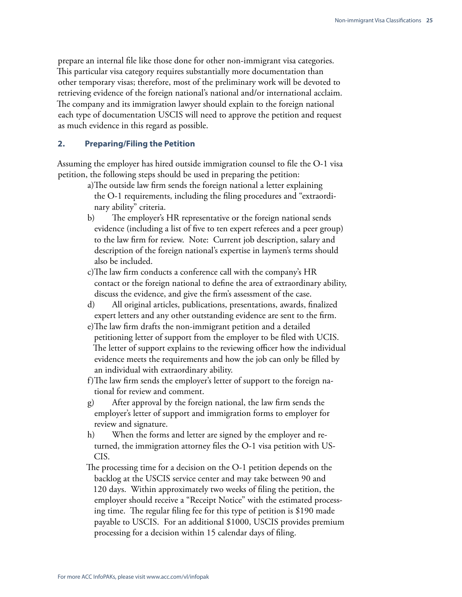prepare an internal file like those done for other non-immigrant visa categories. This particular visa category requires substantially more documentation than other temporary visas; therefore, most of the preliminary work will be devoted to retrieving evidence of the foreign national's national and/or international acclaim. The company and its immigration lawyer should explain to the foreign national each type of documentation USCIS will need to approve the petition and request as much evidence in this regard as possible.

### **2. Preparing/Filing the Petition**

Assuming the employer has hired outside immigration counsel to file the O-1 visa petition, the following steps should be used in preparing the petition:

- a)The outside law firm sends the foreign national a letter explaining the O-1 requirements, including the filing procedures and "extraordinary ability" criteria.
- b) The employer's HR representative or the foreign national sends evidence (including a list of five to ten expert referees and a peer group) to the law firm for review. Note: Current job description, salary and description of the foreign national's expertise in laymen's terms should also be included.
- c)The law firm conducts a conference call with the company's HR contact or the foreign national to define the area of extraordinary ability, discuss the evidence, and give the firm's assessment of the case.
- d) All original articles, publications, presentations, awards, finalized expert letters and any other outstanding evidence are sent to the firm.
- e)The law firm drafts the non-immigrant petition and a detailed petitioning letter of support from the employer to be filed with UCIS. The letter of support explains to the reviewing officer how the individual evidence meets the requirements and how the job can only be filled by an individual with extraordinary ability.
- f)The law firm sends the employer's letter of support to the foreign national for review and comment.
- g) After approval by the foreign national, the law firm sends the employer's letter of support and immigration forms to employer for review and signature.
- h) When the forms and letter are signed by the employer and returned, the immigration attorney files the O-1 visa petition with US-CIS.
- The processing time for a decision on the O-1 petition depends on the backlog at the USCIS service center and may take between 90 and 120 days. Within approximately two weeks of filing the petition, the employer should receive a "Receipt Notice" with the estimated processing time. The regular filing fee for this type of petition is \$190 made payable to USCIS. For an additional \$1000, USCIS provides premium processing for a decision within 15 calendar days of filing.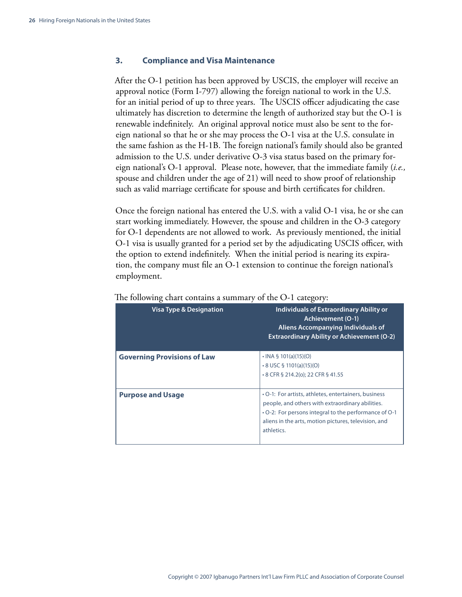### **3. Compliance and Visa Maintenance**

After the O-1 petition has been approved by USCIS, the employer will receive an approval notice (Form I-797) allowing the foreign national to work in the U.S. for an initial period of up to three years. The USCIS officer adjudicating the case ultimately has discretion to determine the length of authorized stay but the O-1 is renewable indefinitely. An original approval notice must also be sent to the foreign national so that he or she may process the O-1 visa at the U.S. consulate in the same fashion as the H-1B. The foreign national's family should also be granted admission to the U.S. under derivative O-3 visa status based on the primary foreign national's O-1 approval. Please note, however, that the immediate family (*i.e.,* spouse and children under the age of 21) will need to show proof of relationship such as valid marriage certificate for spouse and birth certificates for children.

Once the foreign national has entered the U.S. with a valid O-1 visa, he or she can start working immediately. However, the spouse and children in the O-3 category for O-1 dependents are not allowed to work. As previously mentioned, the initial O-1 visa is usually granted for a period set by the adjudicating USCIS officer, with the option to extend indefinitely. When the initial period is nearing its expiration, the company must file an O-1 extension to continue the foreign national's employment.

| <b>Visa Type &amp; Designation</b> | <b>Individuals of Extraordinary Ability or</b><br>Achievement (O-1)<br>Aliens Accompanying Individuals of<br><b>Extraordinary Ability or Achievement (O-2)</b>                                                                          |
|------------------------------------|-----------------------------------------------------------------------------------------------------------------------------------------------------------------------------------------------------------------------------------------|
| <b>Governing Provisions of Law</b> | $\cdot$ INA § 101(a)(15)(O)<br>$\cdot$ 8 USC § 1101(a)(15)(O)<br>• 8 CFR § 214.2(o); 22 CFR § 41.55                                                                                                                                     |
| <b>Purpose and Usage</b>           | • O-1: For artists, athletes, entertainers, business<br>people, and others with extraordinary abilities.<br>. O-2: For persons integral to the performance of O-1<br>aliens in the arts, motion pictures, television, and<br>athletics. |

#### The following chart contains a summary of the O-1 category: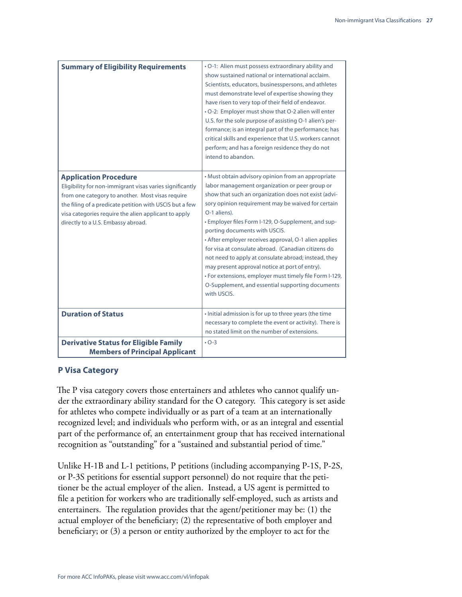| <b>Summary of Eligibility Requirements</b>                                                                                                                                                                                                                                                            | . O-1: Alien must possess extraordinary ability and<br>show sustained national or international acclaim.<br>Scientists, educators, businesspersons, and athletes<br>must demonstrate level of expertise showing they<br>have risen to very top of their field of endeavor.<br>. O-2: Employer must show that O-2 alien will enter<br>U.S. for the sole purpose of assisting O-1 alien's per-<br>formance; is an integral part of the performance; has<br>critical skills and experience that U.S. workers cannot<br>perform; and has a foreign residence they do not<br>intend to abandon.                                                                                         |
|-------------------------------------------------------------------------------------------------------------------------------------------------------------------------------------------------------------------------------------------------------------------------------------------------------|------------------------------------------------------------------------------------------------------------------------------------------------------------------------------------------------------------------------------------------------------------------------------------------------------------------------------------------------------------------------------------------------------------------------------------------------------------------------------------------------------------------------------------------------------------------------------------------------------------------------------------------------------------------------------------|
| <b>Application Procedure</b><br>Eligibility for non-immigrant visas varies significantly<br>from one category to another. Most visas require<br>the filing of a predicate petition with USCIS but a few<br>visa categories require the alien applicant to apply<br>directly to a U.S. Embassy abroad. | • Must obtain advisory opinion from an appropriate<br>labor management organization or peer group or<br>show that such an organization does not exist (advi-<br>sory opinion requirement may be waived for certain<br>O-1 aliens).<br>• Employer files Form I-129, O-Supplement, and sup-<br>porting documents with USCIS.<br>• After employer receives approval, O-1 alien applies<br>for visa at consulate abroad. (Canadian citizens do<br>not need to apply at consulate abroad; instead, they<br>may present approval notice at port of entry).<br>· For extensions, employer must timely file Form I-129,<br>O-Supplement, and essential supporting documents<br>with USCIS. |
| <b>Duration of Status</b>                                                                                                                                                                                                                                                                             | · Initial admission is for up to three years (the time<br>necessary to complete the event or activity). There is<br>no stated limit on the number of extensions.                                                                                                                                                                                                                                                                                                                                                                                                                                                                                                                   |
| <b>Derivative Status for Eligible Family</b><br><b>Members of Principal Applicant</b>                                                                                                                                                                                                                 | $\cdot$ O-3                                                                                                                                                                                                                                                                                                                                                                                                                                                                                                                                                                                                                                                                        |

### **P Visa Category**

The P visa category covers those entertainers and athletes who cannot qualify under the extraordinary ability standard for the O category. This category is set aside for athletes who compete individually or as part of a team at an internationally recognized level; and individuals who perform with, or as an integral and essential part of the performance of, an entertainment group that has received international recognition as "outstanding" for a "sustained and substantial period of time."

Unlike H-1B and L-1 petitions, P petitions (including accompanying P-1S, P-2S, or P-3S petitions for essential support personnel) do not require that the petitioner be the actual employer of the alien. Instead, a US agent is permitted to file a petition for workers who are traditionally self-employed, such as artists and entertainers. The regulation provides that the agent/petitioner may be: (1) the actual employer of the beneficiary; (2) the representative of both employer and beneficiary; or (3) a person or entity authorized by the employer to act for the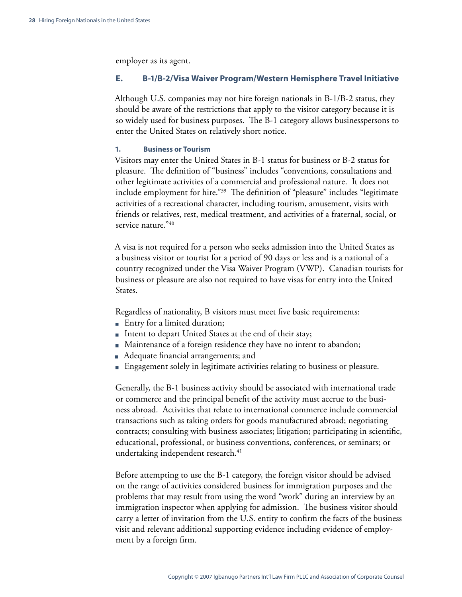employer as its agent.

### **E. B-1/B-2/Visa Waiver Program/Western Hemisphere Travel Initiative**

Although U.S. companies may not hire foreign nationals in B-1/B-2 status, they should be aware of the restrictions that apply to the visitor category because it is so widely used for business purposes. The B-1 category allows businesspersons to enter the United States on relatively short notice.

### **1. Business or Tourism**

Visitors may enter the United States in B-1 status for business or B-2 status for pleasure. The definition of "business" includes "conventions, consultations and other legitimate activities of a commercial and professional nature. It does not include employment for hire."39 The definition of "pleasure" includes "legitimate activities of a recreational character, including tourism, amusement, visits with friends or relatives, rest, medical treatment, and activities of a fraternal, social, or service nature."40

A visa is not required for a person who seeks admission into the United States as a business visitor or tourist for a period of 90 days or less and is a national of a country recognized under the Visa Waiver Program (VWP). Canadian tourists for business or pleasure are also not required to have visas for entry into the United States.

Regardless of nationality, B visitors must meet five basic requirements:

- Entry for a limited duration;
- Intent to depart United States at the end of their stay;
- Maintenance of a foreign residence they have no intent to abandon; ■
- Adequate financial arrangements; and
- Engagement solely in legitimate activities relating to business or pleasure.

Generally, the B-1 business activity should be associated with international trade or commerce and the principal benefit of the activity must accrue to the business abroad. Activities that relate to international commerce include commercial transactions such as taking orders for goods manufactured abroad; negotiating contracts; consulting with business associates; litigation; participating in scientific, educational, professional, or business conventions, conferences, or seminars; or undertaking independent research.<sup>41</sup>

Before attempting to use the B-1 category, the foreign visitor should be advised on the range of activities considered business for immigration purposes and the problems that may result from using the word "work" during an interview by an immigration inspector when applying for admission. The business visitor should carry a letter of invitation from the U.S. entity to confirm the facts of the business visit and relevant additional supporting evidence including evidence of employment by a foreign firm.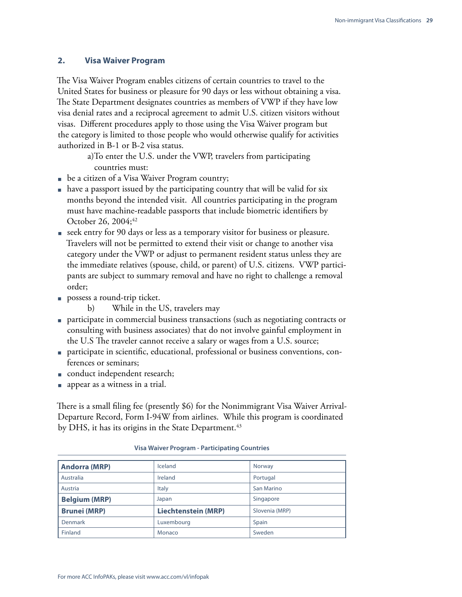#### **2. Visa Waiver Program**

The Visa Waiver Program enables citizens of certain countries to travel to the United States for business or pleasure for 90 days or less without obtaining a visa. The State Department designates countries as members of VWP if they have low visa denial rates and a reciprocal agreement to admit U.S. citizen visitors without visas. Different procedures apply to those using the Visa Waiver program but the category is limited to those people who would otherwise qualify for activities authorized in B-1 or B-2 visa status.

> a)To enter the U.S. under the VWP, travelers from participating countries must:

- be a citizen of a Visa Waiver Program country;
- $\blacksquare$  have a passport issued by the participating country that will be valid for six months beyond the intended visit. All countries participating in the program must have machine-readable passports that include biometric identifiers by October 26, 2004;<sup>42</sup>
- seek entry for 90 days or less as a temporary visitor for business or pleasure. Travelers will not be permitted to extend their visit or change to another visa category under the VWP or adjust to permanent resident status unless they are the immediate relatives (spouse, child, or parent) of U.S. citizens. VWP participants are subject to summary removal and have no right to challenge a removal order;
- possess a round-trip ticket.
	- b) While in the US, travelers may
- participate in commercial business transactions (such as negotiating contracts or consulting with business associates) that do not involve gainful employment in the U.S The traveler cannot receive a salary or wages from a U.S. source;
- participate in scientific, educational, professional or business conventions, conferences or seminars;
- conduct independent research; ■
- appear as a witness in a trial. ■

There is a small filing fee (presently \$6) for the Nonimmigrant Visa Waiver Arrival-Departure Record, Form I-94W from airlines. While this program is coordinated by DHS, it has its origins in the State Department.<sup>43</sup>

| Iceland                    | Norway         |
|----------------------------|----------------|
| Ireland                    | Portugal       |
| Italy                      | San Marino     |
| Japan                      | Singapore      |
| <b>Liechtenstein (MRP)</b> | Slovenia (MRP) |
| Luxembourg                 | Spain          |
| Monaco                     | Sweden         |
|                            |                |

**Visa Waiver Program - Participating Countries**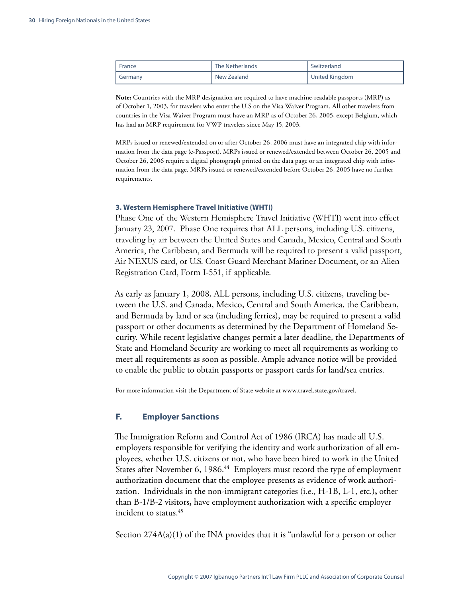| France  | The Netherlands | Switzerland    |
|---------|-----------------|----------------|
| Germany | New Zealand     | United Kingdom |

**Note:** Countries with the MRP designation are required to have machine-readable passports (MRP) as of October 1, 2003, for travelers who enter the U.S on the Visa Waiver Program. All other travelers from countries in the Visa Waiver Program must have an MRP as of October 26, 2005, except Belgium, which has had an MRP requirement for VWP travelers since May 15, 2003.

MRPs issued or renewed/extended on or after October 26, 2006 must have an integrated chip with information from the data page (e-Passport). MRPs issued or renewed/extended between October 26, 2005 and October 26, 2006 require a digital photograph printed on the data page or an integrated chip with information from the data page. MRPs issued or renewed/extended before October 26, 2005 have no further requirements.

#### **3. Western Hemisphere Travel Initiative (WHTI)**

Phase One of the Western Hemisphere Travel Initiative (WHTI) went into effect January 23, 2007. Phase One requires that ALL persons, including U.S. citizens, traveling by air between the United States and Canada, Mexico, Central and South America, the Caribbean, and Bermuda will be required to present a valid passport, Air NEXUS card, or U.S. Coast Guard Merchant Mariner Document, or an Alien Registration Card, Form I-551, if applicable.

As early as January 1, 2008, ALL persons, including U.S. citizens, traveling between the U.S. and Canada, Mexico, Central and South America, the Caribbean, and Bermuda by land or sea (including ferries), may be required to present a valid passport or other documents as determined by the Department of Homeland Security. While recent legislative changes permit a later deadline, the Departments of State and Homeland Security are working to meet all requirements as working to meet all requirements as soon as possible. Ample advance notice will be provided to enable the public to obtain passports or passport cards for land/sea entries.

For more information visit the Department of State website at www.travel.state.gov/travel.

### **F. Employer Sanctions**

The Immigration Reform and Control Act of 1986 (IRCA) has made all U.S. employers responsible for verifying the identity and work authorization of all employees, whether U.S. citizens or not, who have been hired to work in the United States after November 6, 1986.<sup>44</sup> Employers must record the type of employment authorization document that the employee presents as evidence of work authorization. Individuals in the non-immigrant categories (i.e., H-1B, L-1, etc.)**,** other than B-1/B-2 visitors**,** have employment authorization with a specific employer incident to status.45

Section 274A(a)(1) of the INA provides that it is "unlawful for a person or other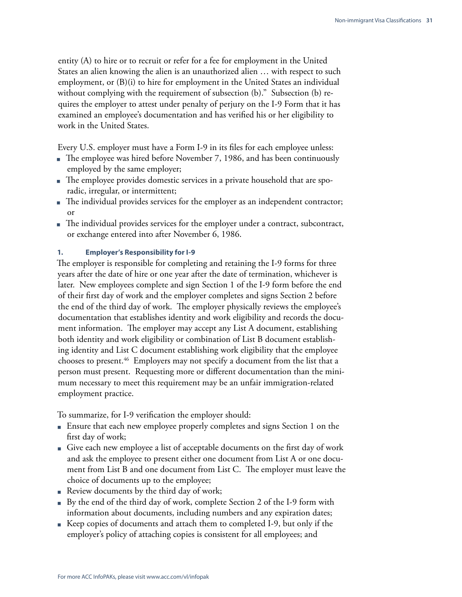entity (A) to hire or to recruit or refer for a fee for employment in the United States an alien knowing the alien is an unauthorized alien … with respect to such employment, or (B)(i) to hire for employment in the United States an individual without complying with the requirement of subsection (b)." Subsection (b) requires the employer to attest under penalty of perjury on the I-9 Form that it has examined an employee's documentation and has verified his or her eligibility to work in the United States.

Every U.S. employer must have a Form I-9 in its files for each employee unless:

- The employee was hired before November 7, 1986, and has been continuously employed by the same employer;
- The employee provides domestic services in a private household that are sporadic, irregular, or intermittent;
- The individual provides services for the employer as an independent contractor; or
- The individual provides services for the employer under a contract, subcontract, or exchange entered into after November 6, 1986.

### **1. Employer's Responsibility for I-9**

The employer is responsible for completing and retaining the I-9 forms for three years after the date of hire or one year after the date of termination, whichever is later. New employees complete and sign Section 1 of the I-9 form before the end of their first day of work and the employer completes and signs Section 2 before the end of the third day of work. The employer physically reviews the employee's documentation that establishes identity and work eligibility and records the document information. The employer may accept any List A document, establishing both identity and work eligibility or combination of List B document establishing identity and List C document establishing work eligibility that the employee chooses to present.46 Employers may not specify a document from the list that a person must present. Requesting more or different documentation than the minimum necessary to meet this requirement may be an unfair immigration-related employment practice.

To summarize, for I-9 verification the employer should:

- Ensure that each new employee properly completes and signs Section 1 on the first day of work;
- Give each new employee a list of acceptable documents on the first day of work and ask the employee to present either one document from List A or one document from List B and one document from List C. The employer must leave the choice of documents up to the employee;
- Review documents by the third day of work;
- By the end of the third day of work, complete Section 2 of the I-9 form with information about documents, including numbers and any expiration dates;
- Keep copies of documents and attach them to completed I-9, but only if the employer's policy of attaching copies is consistent for all employees; and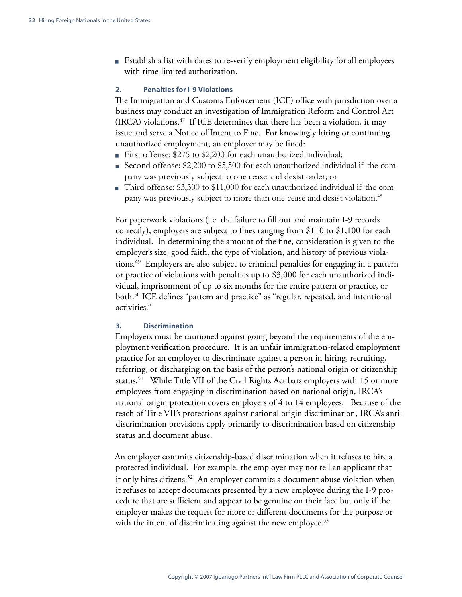■ Establish a list with dates to re-verify employment eligibility for all employees with time-limited authorization.

#### **2. Penalties for I-9 Violations**

The Immigration and Customs Enforcement (ICE) office with jurisdiction over a business may conduct an investigation of Immigration Reform and Control Act (IRCA) violations. $47$  If ICE determines that there has been a violation, it may issue and serve a Notice of Intent to Fine. For knowingly hiring or continuing unauthorized employment, an employer may be fined:

- First offense: \$275 to \$2,200 for each unauthorized individual;
- Second offense: \$2,200 to \$5,500 for each unauthorized individual if the company was previously subject to one cease and desist order; or
- Third offense: \$3,300 to \$11,000 for each unauthorized individual if the company was previously subject to more than one cease and desist violation.<sup>48</sup>

For paperwork violations (i.e. the failure to fill out and maintain I-9 records correctly), employers are subject to fines ranging from \$110 to \$1,100 for each individual. In determining the amount of the fine, consideration is given to the employer's size, good faith, the type of violation, and history of previous violations.49 Employers are also subject to criminal penalties for engaging in a pattern or practice of violations with penalties up to \$3,000 for each unauthorized individual, imprisonment of up to six months for the entire pattern or practice, or both.50 ICE defines "pattern and practice" as "regular, repeated, and intentional activities."

#### **3. Discrimination**

Employers must be cautioned against going beyond the requirements of the employment verification procedure. It is an unfair immigration-related employment practice for an employer to discriminate against a person in hiring, recruiting, referring, or discharging on the basis of the person's national origin or citizenship status.<sup>51</sup> While Title VII of the Civil Rights Act bars employers with 15 or more employees from engaging in discrimination based on national origin, IRCA's national origin protection covers employers of 4 to 14 employees. Because of the reach of Title VII's protections against national origin discrimination, IRCA's antidiscrimination provisions apply primarily to discrimination based on citizenship status and document abuse.

An employer commits citizenship-based discrimination when it refuses to hire a protected individual. For example, the employer may not tell an applicant that it only hires citizens.<sup>52</sup> An employer commits a document abuse violation when it refuses to accept documents presented by a new employee during the I-9 procedure that are sufficient and appear to be genuine on their face but only if the employer makes the request for more or different documents for the purpose or with the intent of discriminating against the new employee.<sup>53</sup>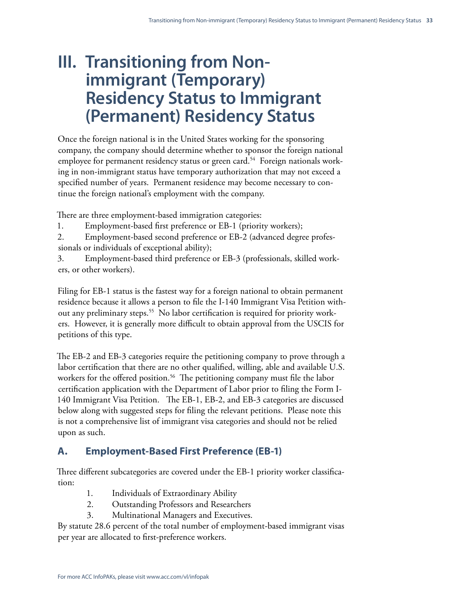# **III. Transitioning from Nonimmigrant (Temporary) Residency Status to Immigrant (Permanent) Residency Status**

Once the foreign national is in the United States working for the sponsoring company, the company should determine whether to sponsor the foreign national employee for permanent residency status or green card.<sup>54</sup> Foreign nationals working in non-immigrant status have temporary authorization that may not exceed a specified number of years. Permanent residence may become necessary to continue the foreign national's employment with the company.

There are three employment-based immigration categories:

1. Employment-based first preference or EB-1 (priority workers);

2. Employment-based second preference or EB-2 (advanced degree professionals or individuals of exceptional ability);

3. Employment-based third preference or EB-3 (professionals, skilled workers, or other workers).

Filing for EB-1 status is the fastest way for a foreign national to obtain permanent residence because it allows a person to file the I-140 Immigrant Visa Petition without any preliminary steps.<sup>55</sup> No labor certification is required for priority workers. However, it is generally more difficult to obtain approval from the USCIS for petitions of this type.

The EB-2 and EB-3 categories require the petitioning company to prove through a labor certification that there are no other qualified, willing, able and available U.S. workers for the offered position.<sup>56</sup> The petitioning company must file the labor certification application with the Department of Labor prior to filing the Form I-140 Immigrant Visa Petition. The EB-1, EB-2, and EB-3 categories are discussed below along with suggested steps for filing the relevant petitions. Please note this is not a comprehensive list of immigrant visa categories and should not be relied upon as such.

# **A. Employment-Based First Preference (EB-1)**

Three different subcategories are covered under the EB-1 priority worker classification:

- 1. Individuals of Extraordinary Ability
- 2. Outstanding Professors and Researchers
- 3. Multinational Managers and Executives.

By statute 28.6 percent of the total number of employment-based immigrant visas per year are allocated to first-preference workers.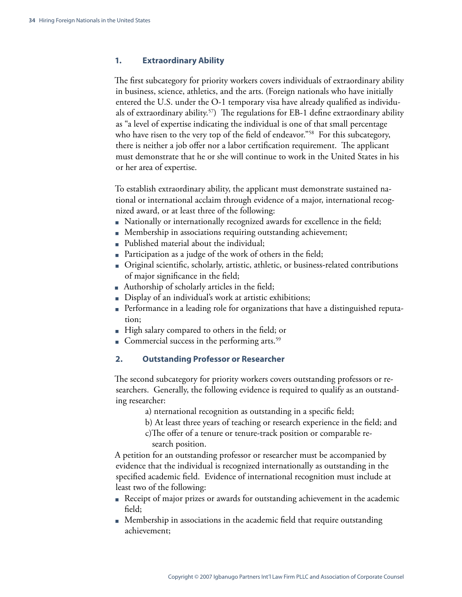### **1. Extraordinary Ability**

The first subcategory for priority workers covers individuals of extraordinary ability in business, science, athletics, and the arts. (Foreign nationals who have initially entered the U.S. under the O-1 temporary visa have already qualified as individuals of extraordinary ability.<sup>57</sup>) The regulations for EB-1 define extraordinary ability as "a level of expertise indicating the individual is one of that small percentage who have risen to the very top of the field of endeavor."<sup>58</sup> For this subcategory, there is neither a job offer nor a labor certification requirement. The applicant must demonstrate that he or she will continue to work in the United States in his or her area of expertise.

To establish extraordinary ability, the applicant must demonstrate sustained national or international acclaim through evidence of a major, international recognized award, or at least three of the following:

- Nationally or internationally recognized awards for excellence in the field;
- Membership in associations requiring outstanding achievement;
- Published material about the individual;
- Participation as a judge of the work of others in the field;
- Original scientific, scholarly, artistic, athletic, or business-related contributions of major significance in the field;
- Authorship of scholarly articles in the field;
- Display of an individual's work at artistic exhibitions;
- Performance in a leading role for organizations that have a distinguished reputation;
- High salary compared to others in the field; or
- Commercial success in the performing arts.<sup>59</sup>

### **2. Outstanding Professor or Researcher**

The second subcategory for priority workers covers outstanding professors or researchers. Generally, the following evidence is required to qualify as an outstanding researcher:

- a) nternational recognition as outstanding in a specific field;
- b) At least three years of teaching or research experience in the field; and
- c)The offer of a tenure or tenure-track position or comparable research position.

A petition for an outstanding professor or researcher must be accompanied by evidence that the individual is recognized internationally as outstanding in the specified academic field. Evidence of international recognition must include at least two of the following:

- Receipt of major prizes or awards for outstanding achievement in the academic field;
- Membership in associations in the academic field that require outstanding achievement;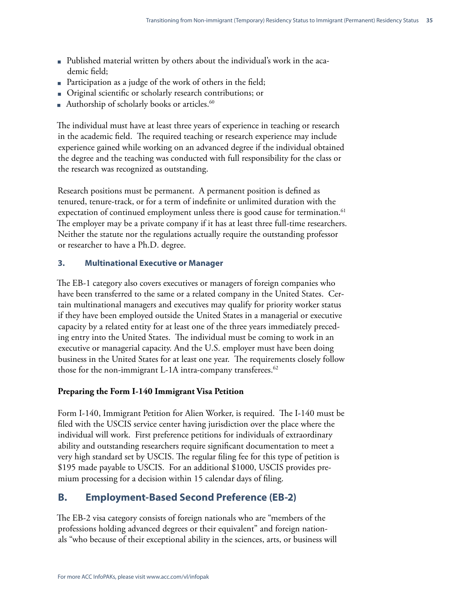- Published material written by others about the individual's work in the academic field;
- Participation as a judge of the work of others in the field;
- Original scientific or scholarly research contributions; or ■
- Authorship of scholarly books or articles.<sup>60</sup>

The individual must have at least three years of experience in teaching or research in the academic field. The required teaching or research experience may include experience gained while working on an advanced degree if the individual obtained the degree and the teaching was conducted with full responsibility for the class or the research was recognized as outstanding.

Research positions must be permanent. A permanent position is defined as tenured, tenure-track, or for a term of indefinite or unlimited duration with the expectation of continued employment unless there is good cause for termination.<sup>61</sup> The employer may be a private company if it has at least three full-time researchers. Neither the statute nor the regulations actually require the outstanding professor or researcher to have a Ph.D. degree.

### **3. Multinational Executive or Manager**

The EB-1 category also covers executives or managers of foreign companies who have been transferred to the same or a related company in the United States. Certain multinational managers and executives may qualify for priority worker status if they have been employed outside the United States in a managerial or executive capacity by a related entity for at least one of the three years immediately preceding entry into the United States. The individual must be coming to work in an executive or managerial capacity. And the U.S. employer must have been doing business in the United States for at least one year. The requirements closely follow those for the non-immigrant L-1A intra-company transferees. $62$ 

### **Preparing the Form I-140 Immigrant Visa Petition**

Form I-140, Immigrant Petition for Alien Worker, is required. The I-140 must be filed with the USCIS service center having jurisdiction over the place where the individual will work. First preference petitions for individuals of extraordinary ability and outstanding researchers require significant documentation to meet a very high standard set by USCIS. The regular filing fee for this type of petition is \$195 made payable to USCIS. For an additional \$1000, USCIS provides premium processing for a decision within 15 calendar days of filing.

# **B. Employment-Based Second Preference (EB-2)**

The EB-2 visa category consists of foreign nationals who are "members of the professions holding advanced degrees or their equivalent" and foreign nationals "who because of their exceptional ability in the sciences, arts, or business will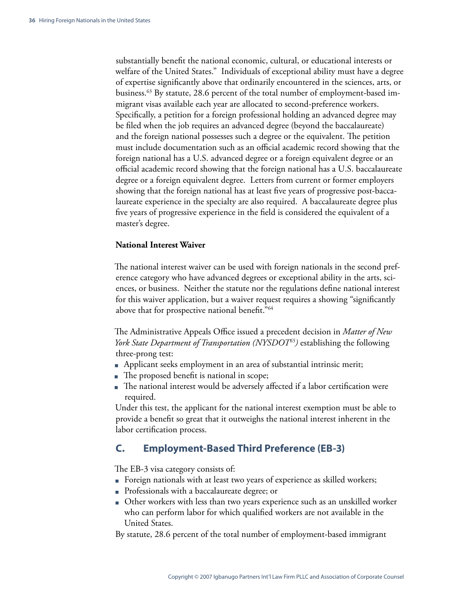substantially benefit the national economic, cultural, or educational interests or welfare of the United States." Individuals of exceptional ability must have a degree of expertise significantly above that ordinarily encountered in the sciences, arts, or business.63 By statute, 28.6 percent of the total number of employment-based immigrant visas available each year are allocated to second-preference workers. Specifically, a petition for a foreign professional holding an advanced degree may be filed when the job requires an advanced degree (beyond the baccalaureate) and the foreign national possesses such a degree or the equivalent. The petition must include documentation such as an official academic record showing that the foreign national has a U.S. advanced degree or a foreign equivalent degree or an official academic record showing that the foreign national has a U.S. baccalaureate degree or a foreign equivalent degree. Letters from current or former employers showing that the foreign national has at least five years of progressive post-baccalaureate experience in the specialty are also required. A baccalaureate degree plus five years of progressive experience in the field is considered the equivalent of a master's degree.

### **National Interest Waiver**

The national interest waiver can be used with foreign nationals in the second preference category who have advanced degrees or exceptional ability in the arts, sciences, or business. Neither the statute nor the regulations define national interest for this waiver application, but a waiver request requires a showing "significantly above that for prospective national benefit."64

The Administrative Appeals Office issued a precedent decision in *Matter of New York State Department of Transportation (NYSDOT65)* establishing the following three-prong test:

- Applicant seeks employment in an area of substantial intrinsic merit;
- The proposed benefit is national in scope;
- The national interest would be adversely affected if a labor certification were required.

Under this test, the applicant for the national interest exemption must be able to provide a benefit so great that it outweighs the national interest inherent in the labor certification process.

## **C. Employment-Based Third Preference (EB-3)**

The EB-3 visa category consists of:

- Foreign nationals with at least two years of experience as skilled workers;
- Professionals with a baccalaureate degree; or
- Other workers with less than two years experience such as an unskilled worker who can perform labor for which qualified workers are not available in the United States.

By statute, 28.6 percent of the total number of employment-based immigrant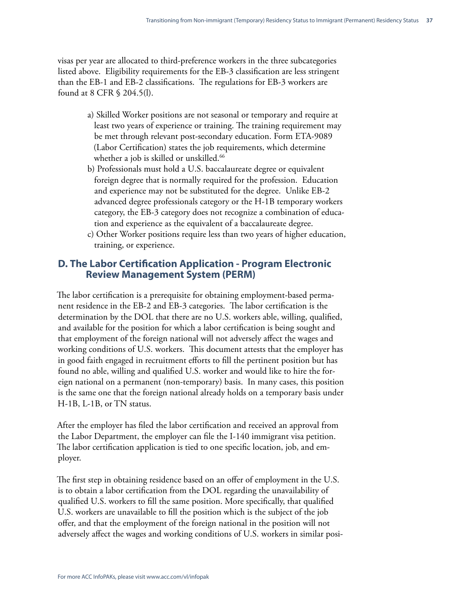visas per year are allocated to third-preference workers in the three subcategories listed above. Eligibility requirements for the EB-3 classification are less stringent than the EB-1 and EB-2 classifications. The regulations for EB-3 workers are found at 8 CFR § 204.5(l).

- a) Skilled Worker positions are not seasonal or temporary and require at least two years of experience or training. The training requirement may be met through relevant post-secondary education. Form ETA-9089 (Labor Certification) states the job requirements, which determine whether a job is skilled or unskilled.<sup>66</sup>
- b) Professionals must hold a U.S. baccalaureate degree or equivalent foreign degree that is normally required for the profession. Education and experience may not be substituted for the degree. Unlike EB-2 advanced degree professionals category or the H-1B temporary workers category, the EB-3 category does not recognize a combination of education and experience as the equivalent of a baccalaureate degree.
- c) Other Worker positions require less than two years of higher education, training, or experience.

### **D. The Labor Certification Application - Program Electronic Review Management System (PERM)**

The labor certification is a prerequisite for obtaining employment-based permanent residence in the EB-2 and EB-3 categories. The labor certification is the determination by the DOL that there are no U.S. workers able, willing, qualified, and available for the position for which a labor certification is being sought and that employment of the foreign national will not adversely affect the wages and working conditions of U.S. workers. This document attests that the employer has in good faith engaged in recruitment efforts to fill the pertinent position but has found no able, willing and qualified U.S. worker and would like to hire the foreign national on a permanent (non-temporary) basis. In many cases, this position is the same one that the foreign national already holds on a temporary basis under H-1B, L-1B, or TN status.

After the employer has filed the labor certification and received an approval from the Labor Department, the employer can file the I-140 immigrant visa petition. The labor certification application is tied to one specific location, job, and employer.

The first step in obtaining residence based on an offer of employment in the U.S. is to obtain a labor certification from the DOL regarding the unavailability of qualified U.S. workers to fill the same position. More specifically, that qualified U.S. workers are unavailable to fill the position which is the subject of the job offer, and that the employment of the foreign national in the position will not adversely affect the wages and working conditions of U.S. workers in similar posi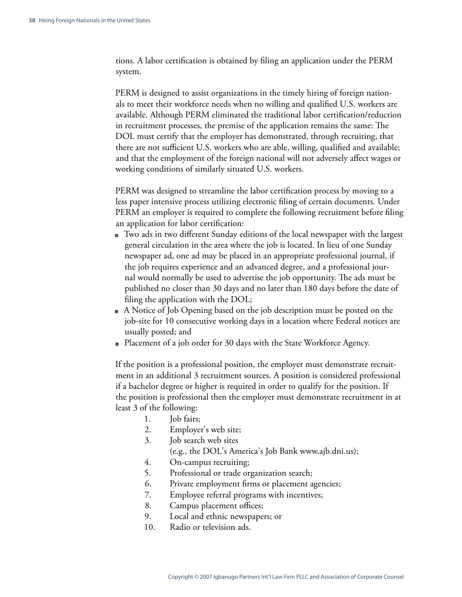tions. A labor certification is obtained by filing an application under the PERM system.

PERM is designed to assist organizations in the timely hiring of foreign nationals to meet their workforce needs when no willing and qualified U.S. workers are available. Although PERM eliminated the traditional labor certification/reduction in recruitment processes, the premise of the application remains the same: The DOL must certify that the employer has demonstrated, through recruiting, that there are not sufficient U.S. workers who are able, willing, qualified and available; and that the employment of the foreign national will not adversely affect wages or working conditions of similarly situated U.S. workers.

PERM was designed to streamline the labor certification process by moving to a less paper intensive process utilizing electronic filing of certain documents. Under PERM an employer is required to complete the following recruitment before filing an application for labor certification:

- Two ads in two different Sunday editions of the local newspaper with the largest general circulation in the area where the job is located. In lieu of one Sunday newspaper ad, one ad may be placed in an appropriate professional journal, if the job requires experience and an advanced degree, and a professional journal would normally be used to advertise the job opportunity. The ads must be published no closer than 30 days and no later than 180 days before the date of filing the application with the DOL;
- A Notice of Job Opening based on the job description must be posted on the job-site for 10 consecutive working days in a location where Federal notices are usually posted; and
- Placement of a job order for 30 days with the State Workforce Agency.

If the position is a professional position, the employer must demonstrate recruitment in an additional 3 recruitment sources. A position is considered professional if a bachelor degree or higher is required in order to qualify for the position. If the position is professional then the employer must demonstrate recruitment in at least 3 of the following:

- 1. Job fairs;
- 2. Employer's web site;
- 3. Job search web sites
	- (e.g., the DOL's America's Job Bank www.ajb.dni.us);
- 4. On-campus recruiting;
- 5. Professional or trade organization search;
- 6. Private employment firms or placement agencies;
- 7. Employee referral programs with incentives;
- 8. Campus placement offices;
- 9. Local and ethnic newspapers; or
- 10. Radio or television ads.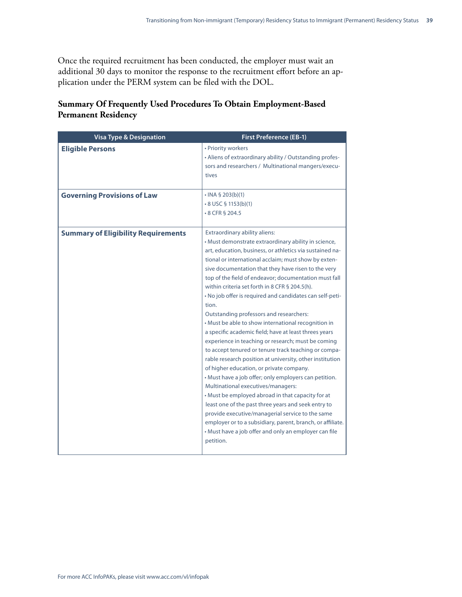Once the required recruitment has been conducted, the employer must wait an additional 30 days to monitor the response to the recruitment effort before an application under the PERM system can be filed with the DOL.

### **Summary Of Frequently Used Procedures To Obtain Employment-Based Permanent Residency**

| <b>Visa Type &amp; Designation</b>         | <b>First Preference (EB-1)</b>                                                                                                                                                                                                                                                                                                                                                                                                                                                                                                                                                                                                                                                                                                                                                                                                                                                                                                                                                                                                                                                                                                                                                                                                       |
|--------------------------------------------|--------------------------------------------------------------------------------------------------------------------------------------------------------------------------------------------------------------------------------------------------------------------------------------------------------------------------------------------------------------------------------------------------------------------------------------------------------------------------------------------------------------------------------------------------------------------------------------------------------------------------------------------------------------------------------------------------------------------------------------------------------------------------------------------------------------------------------------------------------------------------------------------------------------------------------------------------------------------------------------------------------------------------------------------------------------------------------------------------------------------------------------------------------------------------------------------------------------------------------------|
| <b>Eligible Persons</b>                    | • Priority workers<br>• Aliens of extraordinary ability / Outstanding profes-<br>sors and researchers / Multinational mangers/execu-                                                                                                                                                                                                                                                                                                                                                                                                                                                                                                                                                                                                                                                                                                                                                                                                                                                                                                                                                                                                                                                                                                 |
|                                            | tives                                                                                                                                                                                                                                                                                                                                                                                                                                                                                                                                                                                                                                                                                                                                                                                                                                                                                                                                                                                                                                                                                                                                                                                                                                |
| <b>Governing Provisions of Law</b>         | $\cdot$ INA § 203(b)(1)<br>• 8 USC § 1153(b)(1)<br>• 8 CFR § 204.5                                                                                                                                                                                                                                                                                                                                                                                                                                                                                                                                                                                                                                                                                                                                                                                                                                                                                                                                                                                                                                                                                                                                                                   |
| <b>Summary of Eligibility Requirements</b> | Extraordinary ability aliens:<br>· Must demonstrate extraordinary ability in science,<br>art, education, business, or athletics via sustained na-<br>tional or international acclaim; must show by exten-<br>sive documentation that they have risen to the very<br>top of the field of endeavor; documentation must fall<br>within criteria set forth in 8 CFR § 204.5(h).<br>• No job offer is required and candidates can self-peti-<br>tion.<br>Outstanding professors and researchers:<br>• Must be able to show international recognition in<br>a specific academic field; have at least threes years<br>experience in teaching or research; must be coming<br>to accept tenured or tenure track teaching or compa-<br>rable research position at university, other institution<br>of higher education, or private company.<br>• Must have a job offer; only employers can petition.<br>Multinational executives/managers:<br>• Must be employed abroad in that capacity for at<br>least one of the past three years and seek entry to<br>provide executive/managerial service to the same<br>employer or to a subsidiary, parent, branch, or affiliate.<br>• Must have a job offer and only an employer can file<br>petition. |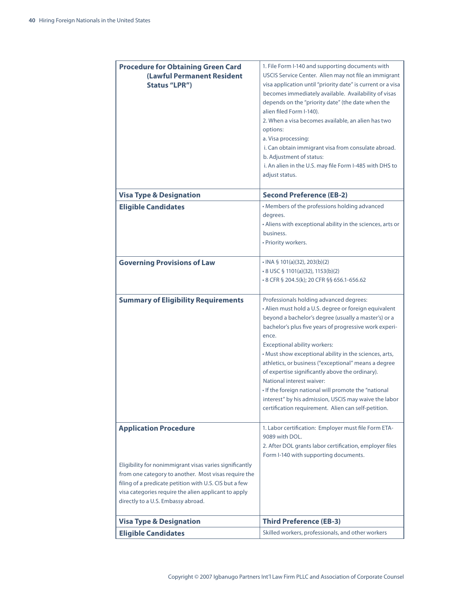| <b>Procedure for Obtaining Green Card</b><br>(Lawful Permanent Resident<br><b>Status "LPR")</b>                                                                                                                                                                                                         | 1. File Form I-140 and supporting documents with<br>USCIS Service Center. Alien may not file an immigrant<br>visa application until "priority date" is current or a visa<br>becomes immediately available. Availability of visas<br>depends on the "priority date" (the date when the<br>alien filed Form I-140).<br>2. When a visa becomes available, an alien has two<br>options:<br>a. Visa processing:<br>i. Can obtain immigrant visa from consulate abroad.<br>b. Adjustment of status:<br>i. An alien in the U.S. may file Form I-485 with DHS to<br>adjust status.                                                            |
|---------------------------------------------------------------------------------------------------------------------------------------------------------------------------------------------------------------------------------------------------------------------------------------------------------|---------------------------------------------------------------------------------------------------------------------------------------------------------------------------------------------------------------------------------------------------------------------------------------------------------------------------------------------------------------------------------------------------------------------------------------------------------------------------------------------------------------------------------------------------------------------------------------------------------------------------------------|
| <b>Visa Type &amp; Designation</b>                                                                                                                                                                                                                                                                      | <b>Second Preference (EB-2)</b>                                                                                                                                                                                                                                                                                                                                                                                                                                                                                                                                                                                                       |
| <b>Eligible Candidates</b>                                                                                                                                                                                                                                                                              | • Members of the professions holding advanced<br>degrees.<br>• Aliens with exceptional ability in the sciences, arts or<br>business.<br>• Priority workers.                                                                                                                                                                                                                                                                                                                                                                                                                                                                           |
| <b>Governing Provisions of Law</b>                                                                                                                                                                                                                                                                      | $\cdot$ INA § 101(a)(32), 203(b)(2)<br>• 8 USC § 1101(a)(32), 1153(b)(2)<br>.8 CFR § 204.5(k); 20 CFR §§ 656.1-656.62                                                                                                                                                                                                                                                                                                                                                                                                                                                                                                                 |
| <b>Summary of Eligibility Requirements</b>                                                                                                                                                                                                                                                              | Professionals holding advanced degrees:<br>• Alien must hold a U.S. degree or foreign equivalent<br>beyond a bachelor's degree (usually a master's) or a<br>bachelor's plus five years of progressive work experi-<br>ence.<br>Exceptional ability workers:<br>. Must show exceptional ability in the sciences, arts,<br>athletics, or business ("exceptional" means a degree<br>of expertise significantly above the ordinary).<br>National interest waiver:<br>• If the foreign national will promote the "national<br>interest" by his admission, USCIS may waive the labor<br>certification requirement. Alien can self-petition. |
| <b>Application Procedure</b><br>Eligibility for nonimmigrant visas varies significantly<br>from one category to another. Most visas require the<br>filing of a predicate petition with U.S. CIS but a few<br>visa categories require the alien applicant to apply<br>directly to a U.S. Embassy abroad. | 1. Labor certification: Employer must file Form ETA-<br>9089 with DOL.<br>2. After DOL grants labor certification, employer files<br>Form I-140 with supporting documents.                                                                                                                                                                                                                                                                                                                                                                                                                                                            |
| <b>Visa Type &amp; Designation</b>                                                                                                                                                                                                                                                                      | <b>Third Preference (EB-3)</b>                                                                                                                                                                                                                                                                                                                                                                                                                                                                                                                                                                                                        |
| <b>Eligible Candidates</b>                                                                                                                                                                                                                                                                              | Skilled workers, professionals, and other workers                                                                                                                                                                                                                                                                                                                                                                                                                                                                                                                                                                                     |
|                                                                                                                                                                                                                                                                                                         |                                                                                                                                                                                                                                                                                                                                                                                                                                                                                                                                                                                                                                       |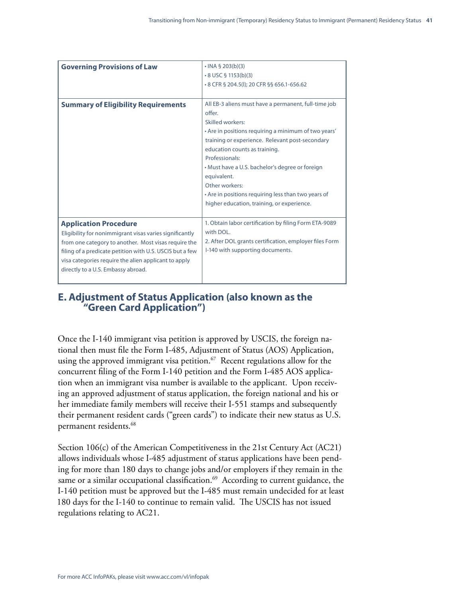| <b>Governing Provisions of Law</b>                       | $\cdot$ INA § 203(b)(3)<br>$\cdot$ 8 USC § 1153(b)(3)<br>.8 CFR § 204.5(l); 20 CFR §§ 656.1-656.62 |
|----------------------------------------------------------|----------------------------------------------------------------------------------------------------|
|                                                          |                                                                                                    |
| <b>Summary of Eligibility Requirements</b>               | All EB-3 aliens must have a permanent, full-time job                                               |
|                                                          | offer.                                                                                             |
|                                                          | Skilled workers:                                                                                   |
|                                                          | • Are in positions requiring a minimum of two years'                                               |
|                                                          | training or experience. Relevant post-secondary                                                    |
|                                                          | education counts as training.                                                                      |
|                                                          | Professionals:                                                                                     |
|                                                          | • Must have a U.S. bachelor's degree or foreign                                                    |
|                                                          | equivalent.                                                                                        |
|                                                          | Other workers:                                                                                     |
|                                                          | • Are in positions requiring less than two years of                                                |
|                                                          | higher education, training, or experience.                                                         |
|                                                          |                                                                                                    |
| <b>Application Procedure</b>                             | 1. Obtain labor certification by filing Form ETA-9089                                              |
| Eligibility for nonimmigrant visas varies significantly  | with DOL.                                                                                          |
| from one category to another. Most visas require the     | 2. After DOL grants certification, employer files Form                                             |
| filing of a predicate petition with U.S. USCIS but a few | I-140 with supporting documents.                                                                   |
| visa categories require the alien applicant to apply     |                                                                                                    |
| directly to a U.S. Embassy abroad.                       |                                                                                                    |
|                                                          |                                                                                                    |

## **E. Adjustment of Status Application (also known as the "Green Card Application")**

Once the I-140 immigrant visa petition is approved by USCIS, the foreign national then must file the Form I-485, Adjustment of Status (AOS) Application, using the approved immigrant visa petition.<sup>67</sup> Recent regulations allow for the concurrent filing of the Form I-140 petition and the Form I-485 AOS application when an immigrant visa number is available to the applicant. Upon receiving an approved adjustment of status application, the foreign national and his or her immediate family members will receive their I-551 stamps and subsequently their permanent resident cards ("green cards") to indicate their new status as U.S. permanent residents.<sup>68</sup>

Section 106(c) of the American Competitiveness in the 21st Century Act (AC21) allows individuals whose I-485 adjustment of status applications have been pending for more than 180 days to change jobs and/or employers if they remain in the same or a similar occupational classification. $69$  According to current guidance, the I-140 petition must be approved but the I-485 must remain undecided for at least 180 days for the I-140 to continue to remain valid. The USCIS has not issued regulations relating to AC21.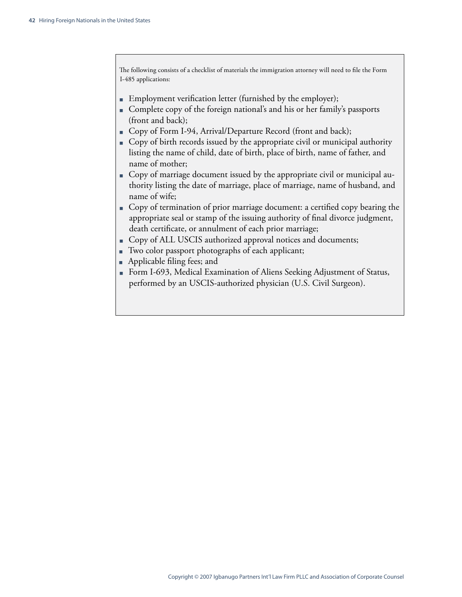The following consists of a checklist of materials the immigration attorney will need to file the Form I-485 applications:

- Employment verification letter (furnished by the employer);
- Complete copy of the foreign national's and his or her family's passports (front and back);
- Copy of Form I-94, Arrival/Departure Record (front and back);
- Copy of birth records issued by the appropriate civil or municipal authority listing the name of child, date of birth, place of birth, name of father, and name of mother;
- Copy of marriage document issued by the appropriate civil or municipal authority listing the date of marriage, place of marriage, name of husband, and name of wife;
- Copy of termination of prior marriage document: a certified copy bearing the appropriate seal or stamp of the issuing authority of final divorce judgment, death certificate, or annulment of each prior marriage;
- Copy of ALL USCIS authorized approval notices and documents;
- Two color passport photographs of each applicant;
- Applicable filing fees; and
- Form I-693, Medical Examination of Aliens Seeking Adjustment of Status, performed by an USCIS-authorized physician (U.S. Civil Surgeon).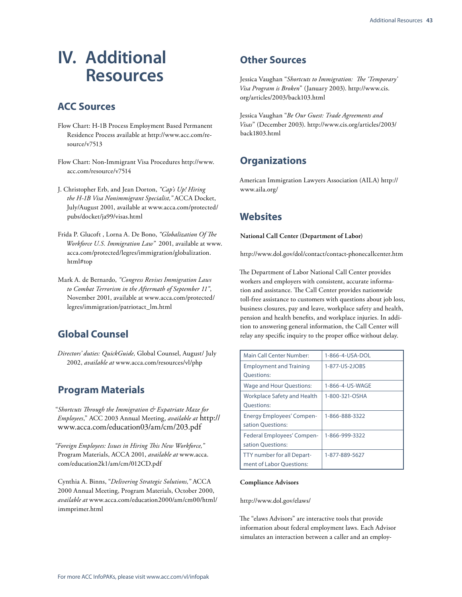# **IV. Additional Resources**

## **ACC Sources**

- Flow Chart: H-1B Process Employment Based Permanent Residence Process available at http://www.acc.com/resource/v7513
- Flow Chart: Non-Immigrant Visa Procedures http://www. acc.com/resource/v7514
- J. Christopher Erb, and Jean Dorton, *"Cap's Up! Hiring the H-1B Visa Nonimmigrant Specialist,"* ACCA Docket, July/August 2001, available at www.acca.com/protected/ pubs/docket/ja99/visas.html
- Frida P. Glucoft , Lorna A. De Bono, *"Globalization Of The Workforce U.S. Immigration Law"* 2001, available at www. acca.com/protected/legres/immigration/globalization. html#top
- Mark A. de Bernardo, *"Congress Revises Immigration Laws to Combat Terrorism in the Aftermath of September 11"*, November 2001, available at www.acca.com/protected/ legres/immigration/patriotact\_lm.html

# **Global Counsel**

*Directors' duties: QuickGuide,* Global Counsel, August/ July 2002, *available at* www.acca.com/resources/vl/php

## **Program Materials**

"*Shortcuts Through the Immigration & Expatriate Maze for Employees*," ACC 2003 Annual Meeting, *available at* http:// www.acca.com/education03/am/cm/203.pdf

*"Foreign Employees: Issues in Hiring This New Workforce,"*  Program Materials, ACCA 2001, *available at* www.acca. com/education2k1/am/cm/012CD.pdf

Cynthia A. Binns, "*Delivering Strategic Solutions,"* ACCA 2000 Annual Meeting, Program Materials, October 2000, *available at* www.acca.com/education2000/am/cm00/html/ immprimer.html

# **Other Sources**

Jessica Vaughan "*Shortcuts to Immigration: The 'Temporary' Visa Program is Broken*" (January 2003). http://www.cis. org/articles/2003/back103.html

Jessica Vaughan "*Be Our Guest: Trade Agreements and Visas*" (December 2003). http://www.cis.org/articles/2003/ back1803.html

# **Organizations**

American Immigration Lawyers Association (AILA) http:// www.aila.org/

## **Websites**

**National Call Center (Department of Labor)**

http://www.dol.gov/dol/contact/contact-phonecallcenter.htm

The Department of Labor National Call Center provides workers and employers with consistent, accurate information and assistance. The Call Center provides nationwide toll-free assistance to customers with questions about job loss, business closures, pay and leave, workplace safety and health, pension and health benefits, and workplace injuries. In addition to answering general information, the Call Center will relay any specific inquiry to the proper office without delay.

| Main Call Center Number:         | 1-866-4-USA-DOL |
|----------------------------------|-----------------|
| <b>Employment and Training</b>   | 1-877-US-2JOBS  |
| Ouestions:                       |                 |
| <b>Wage and Hour Questions:</b>  | 1-866-4-US-WAGE |
| Workplace Safety and Health      | 1-800-321-OSHA  |
| Ouestions:                       |                 |
| <b>Energy Employees' Compen-</b> | 1-866-888-3322  |
| sation Ouestions:                |                 |
| Federal Employees' Compen-       | 1-866-999-3322  |
| sation Ouestions:                |                 |
| TTY number for all Depart-       | 1-877-889-5627  |
| ment of Labor Ouestions:         |                 |

#### **Compliance Advisors**

http://www.dol.gov/elaws/

The "elaws Advisors" are interactive tools that provide information about federal employment laws. Each Advisor simulates an interaction between a caller and an employ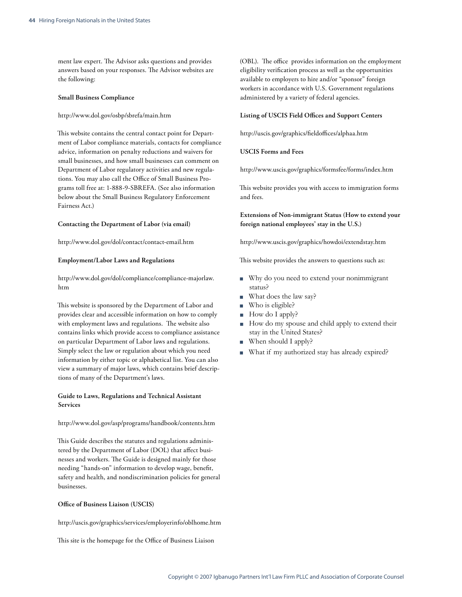ment law expert. The Advisor asks questions and provides answers based on your responses. The Advisor websites are the following:

#### **Small Business Compliance**

#### http://www.dol.gov/osbp/sbrefa/main.htm

This website contains the central contact point for Department of Labor compliance materials, contacts for compliance advice, information on penalty reductions and waivers for small businesses, and how small businesses can comment on Department of Labor regulatory activities and new regulations. You may also call the Office of Small Business Programs toll free at: 1-888-9-SBREFA. (See also information below about the Small Business Regulatory Enforcement Fairness Act.)

#### **Contacting the Department of Labor (via email)**

http://www.dol.gov/dol/contact/contact-email.htm

#### **Employment/Labor Laws and Regulations**

http://www.dol.gov/dol/compliance/compliance-majorlaw. htm

This website is sponsored by the Department of Labor and provides clear and accessible information on how to comply with employment laws and regulations. The website also contains links which provide access to compliance assistance on particular Department of Labor laws and regulations. Simply select the law or regulation about which you need information by either topic or alphabetical list. You can also view a summary of major laws, which contains brief descriptions of many of the Department's laws.

#### **Guide to Laws, Regulations and Technical Assistant Services**

#### http://www.dol.gov/asp/programs/handbook/contents.htm

This Guide describes the statutes and regulations administered by the Department of Labor (DOL) that affect businesses and workers. The Guide is designed mainly for those needing "hands-on" information to develop wage, benefit, safety and health, and nondiscrimination policies for general businesses.

#### **Office of Business Liaison (USCIS)**

http://uscis.gov/graphics/services/employerinfo/oblhome.htm

This site is the homepage for the Office of Business Liaison

(OBL). The office provides information on the employment eligibility verification process as well as the opportunities available to employers to hire and/or "sponsor" foreign workers in accordance with U.S. Government regulations administered by a variety of federal agencies.

#### **Listing of USCIS Field Offices and Support Centers**

http://uscis.gov/graphics/fieldoffices/alphaa.htm

#### **USCIS Forms and Fees**

http://www.uscis.gov/graphics/formsfee/forms/index.htm

This website provides you with access to immigration forms and fees.

#### **Extensions of Non-immigrant Status (How to extend your foreign national employees' stay in the U.S.)**

http://www.uscis.gov/graphics/howdoi/extendstay.htm

This website provides the answers to questions such as:

- Why do you need to extend your nonimmigrant status?
- What does the law say? ■
- Who is eligible?
- How do I apply?
- How do my spouse and child apply to extend their stay in the United States?
- When should I apply? ■
- What if my authorized stay has already expired? ■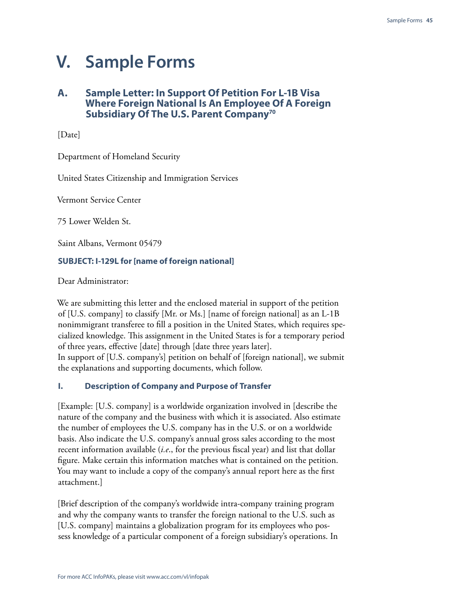# **V. Sample Forms**

### **A. Sample Letter: In Support Of Petition For L-1B Visa Where Foreign National Is An Employee Of A Foreign Subsidiary Of The U.S. Parent Company70**

[Date]

Department of Homeland Security

United States Citizenship and Immigration Services

Vermont Service Center

75 Lower Welden St.

Saint Albans, Vermont 05479

### **SUBJECT: I-129L for [name of foreign national]**

Dear Administrator:

We are submitting this letter and the enclosed material in support of the petition of [U.S. company] to classify [Mr. or Ms.] [name of foreign national] as an L-1B nonimmigrant transferee to fill a position in the United States, which requires specialized knowledge. This assignment in the United States is for a temporary period of three years, effective [date] through [date three years later].

In support of [U.S. company's] petition on behalf of [foreign national], we submit the explanations and supporting documents, which follow.

### **I. Description of Company and Purpose of Transfer**

[Example: [U.S. company] is a worldwide organization involved in [describe the nature of the company and the business with which it is associated. Also estimate the number of employees the U.S. company has in the U.S. or on a worldwide basis. Also indicate the U.S. company's annual gross sales according to the most recent information available (*i.e*., for the previous fiscal year) and list that dollar figure. Make certain this information matches what is contained on the petition. You may want to include a copy of the company's annual report here as the first attachment.]

[Brief description of the company's worldwide intra-company training program and why the company wants to transfer the foreign national to the U.S. such as [U.S. company] maintains a globalization program for its employees who possess knowledge of a particular component of a foreign subsidiary's operations. In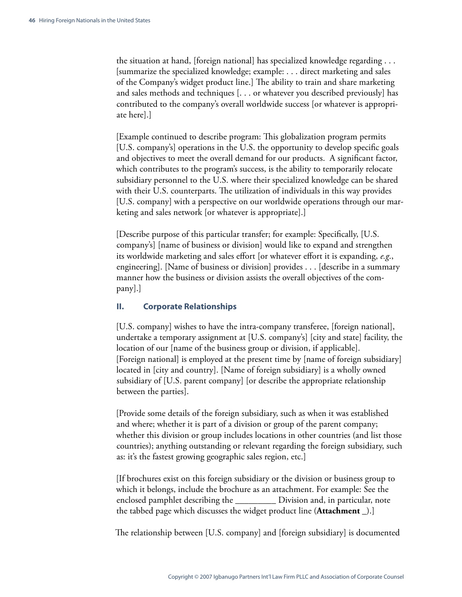the situation at hand, [foreign national] has specialized knowledge regarding . . . [summarize the specialized knowledge; example: . . . direct marketing and sales of the Company's widget product line.] The ability to train and share marketing and sales methods and techniques [. . . or whatever you described previously] has contributed to the company's overall worldwide success [or whatever is appropriate here].]

[Example continued to describe program: This globalization program permits [U.S. company's] operations in the U.S. the opportunity to develop specific goals and objectives to meet the overall demand for our products. A significant factor, which contributes to the program's success, is the ability to temporarily relocate subsidiary personnel to the U.S. where their specialized knowledge can be shared with their U.S. counterparts. The utilization of individuals in this way provides [U.S. company] with a perspective on our worldwide operations through our marketing and sales network [or whatever is appropriate].]

[Describe purpose of this particular transfer; for example: Specifically, [U.S. company's] [name of business or division] would like to expand and strengthen its worldwide marketing and sales effort [or whatever effort it is expanding, *e.g*., engineering]. [Name of business or division] provides . . . [describe in a summary manner how the business or division assists the overall objectives of the company].]

### **II. Corporate Relationships**

[U.S. company] wishes to have the intra-company transferee, [foreign national], undertake a temporary assignment at [U.S. company's] [city and state] facility, the location of our [name of the business group or division, if applicable]. [Foreign national] is employed at the present time by [name of foreign subsidiary] located in [city and country]. [Name of foreign subsidiary] is a wholly owned subsidiary of [U.S. parent company] [or describe the appropriate relationship between the parties].

[Provide some details of the foreign subsidiary, such as when it was established and where; whether it is part of a division or group of the parent company; whether this division or group includes locations in other countries (and list those countries); anything outstanding or relevant regarding the foreign subsidiary, such as: it's the fastest growing geographic sales region, etc.]

[If brochures exist on this foreign subsidiary or the division or business group to which it belongs, include the brochure as an attachment. For example: See the enclosed pamphlet describing the \_\_\_\_\_\_\_\_\_ Division and, in particular, note the tabbed page which discusses the widget product line (**Attachment \_**).]

The relationship between [U.S. company] and [foreign subsidiary] is documented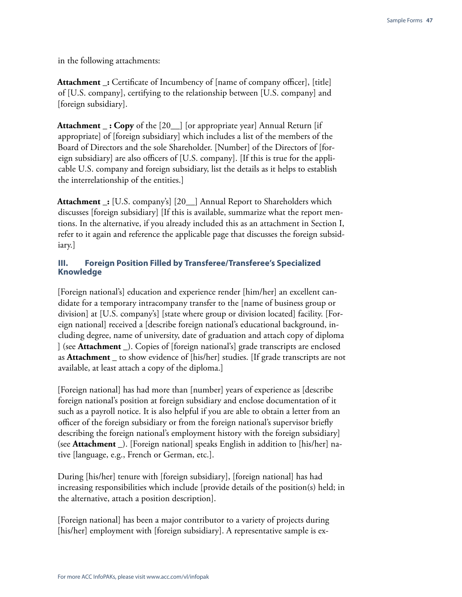in the following attachments:

**Attachment \_:** Certificate of Incumbency of [name of company officer], [title] of [U.S. company], certifying to the relationship between [U.S. company] and [foreign subsidiary].

**Attachment \_: Copy** of the [20\_] [or appropriate year] Annual Return [if appropriate] of [foreign subsidiary] which includes a list of the members of the Board of Directors and the sole Shareholder. [Number] of the Directors of [foreign subsidiary] are also officers of [U.S. company]. [If this is true for the applicable U.S. company and foreign subsidiary, list the details as it helps to establish the interrelationship of the entities.]

**Attachment \_:** [U.S. company's] [20\_\_] Annual Report to Shareholders which discusses [foreign subsidiary] [If this is available, summarize what the report mentions. In the alternative, if you already included this as an attachment in Section I, refer to it again and reference the applicable page that discusses the foreign subsidiary.]

### **III. Foreign Position Filled by Transferee/Transferee's Specialized Knowledge**

[Foreign national's] education and experience render [him/her] an excellent candidate for a temporary intracompany transfer to the [name of business group or division] at [U.S. company's] [state where group or division located] facility. [Foreign national] received a [describe foreign national's educational background, including degree, name of university, date of graduation and attach copy of diploma ] (see **Attachment \_**). Copies of [foreign national's] grade transcripts are enclosed as **Attachment \_** to show evidence of [his/her] studies. [If grade transcripts are not available, at least attach a copy of the diploma.]

[Foreign national] has had more than [number] years of experience as [describe foreign national's position at foreign subsidiary and enclose documentation of it such as a payroll notice. It is also helpful if you are able to obtain a letter from an officer of the foreign subsidiary or from the foreign national's supervisor briefly describing the foreign national's employment history with the foreign subsidiary] (see **Attachment \_**). [Foreign national] speaks English in addition to [his/her] native [language, e.g., French or German, etc.].

During [his/her] tenure with [foreign subsidiary], [foreign national] has had increasing responsibilities which include [provide details of the position(s) held; in the alternative, attach a position description].

[Foreign national] has been a major contributor to a variety of projects during [his/her] employment with [foreign subsidiary]. A representative sample is ex-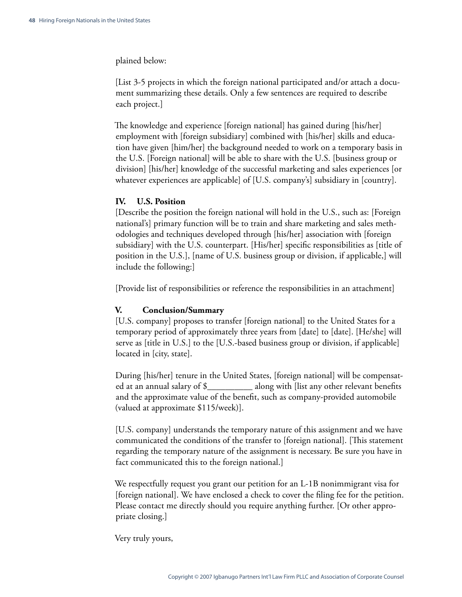### plained below:

[List 3-5 projects in which the foreign national participated and/or attach a document summarizing these details. Only a few sentences are required to describe each project.]

The knowledge and experience [foreign national] has gained during [his/her] employment with [foreign subsidiary] combined with [his/her] skills and education have given [him/her] the background needed to work on a temporary basis in the U.S. [Foreign national] will be able to share with the U.S. [business group or division] [his/her] knowledge of the successful marketing and sales experiences [or whatever experiences are applicable] of [U.S. company's] subsidiary in [country].

### **IV. U.S. Position**

[Describe the position the foreign national will hold in the U.S., such as: [Foreign national's] primary function will be to train and share marketing and sales methodologies and techniques developed through [his/her] association with [foreign subsidiary] with the U.S. counterpart. [His/her] specific responsibilities as [title of position in the U.S.], [name of U.S. business group or division, if applicable,] will include the following:]

[Provide list of responsibilities or reference the responsibilities in an attachment]

### **V. Conclusion/Summary**

[U.S. company] proposes to transfer [foreign national] to the United States for a temporary period of approximately three years from [date] to [date]. [He/she] will serve as [title in U.S.] to the [U.S.-based business group or division, if applicable] located in [city, state].

During [his/her] tenure in the United States, [foreign national] will be compensated at an annual salary of \$\_\_\_\_\_\_\_\_\_\_ along with [list any other relevant benefits and the approximate value of the benefit, such as company-provided automobile (valued at approximate \$115/week)].

[U.S. company] understands the temporary nature of this assignment and we have communicated the conditions of the transfer to [foreign national]. [This statement regarding the temporary nature of the assignment is necessary. Be sure you have in fact communicated this to the foreign national.]

We respectfully request you grant our petition for an L-1B nonimmigrant visa for [foreign national]. We have enclosed a check to cover the filing fee for the petition. Please contact me directly should you require anything further. [Or other appropriate closing.]

Very truly yours,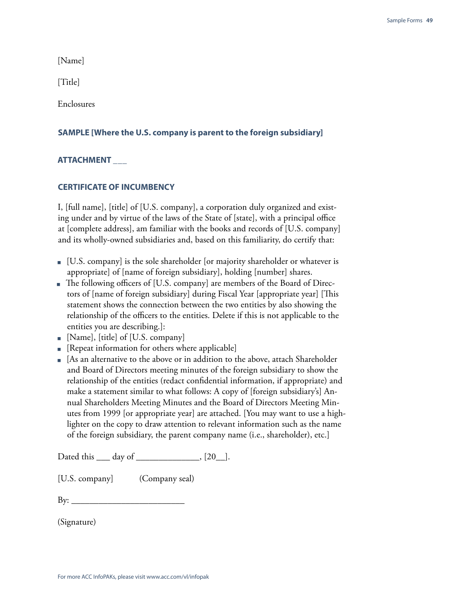[Name]

[Title]

Enclosures

### **SAMPLE [Where the U.S. company is parent to the foreign subsidiary]**

### **ATTACHMENT \_\_\_**

### **CERTIFICATE OF INCUMBENCY**

I, [full name], [title] of [U.S. company], a corporation duly organized and existing under and by virtue of the laws of the State of [state], with a principal office at [complete address], am familiar with the books and records of [U.S. company] and its wholly-owned subsidiaries and, based on this familiarity, do certify that:

- $\blacksquare$  [U.S. company] is the sole shareholder [or majority shareholder or whatever is appropriate] of [name of foreign subsidiary], holding [number] shares.
- The following officers of [U.S. company] are members of the Board of Directors of [name of foreign subsidiary] during Fiscal Year [appropriate year] [This statement shows the connection between the two entities by also showing the relationship of the officers to the entities. Delete if this is not applicable to the entities you are describing.]:
- [Name], [title] of [U.S. company]
- [Repeat information for others where applicable]
- [As an alternative to the above or in addition to the above, attach Shareholder and Board of Directors meeting minutes of the foreign subsidiary to show the relationship of the entities (redact confidential information, if appropriate) and make a statement similar to what follows: A copy of [foreign subsidiary's] Annual Shareholders Meeting Minutes and the Board of Directors Meeting Minutes from 1999 [or appropriate year] are attached. [You may want to use a highlighter on the copy to draw attention to relevant information such as the name of the foreign subsidiary, the parent company name (i.e., shareholder), etc.]

Dated this \_\_\_ day of \_\_\_\_\_\_\_\_\_\_\_\_\_, [20\_].

| [U.S. company] | (Company seal) |
|----------------|----------------|
|                |                |

| B |  |  |
|---|--|--|
| - |  |  |

(Signature)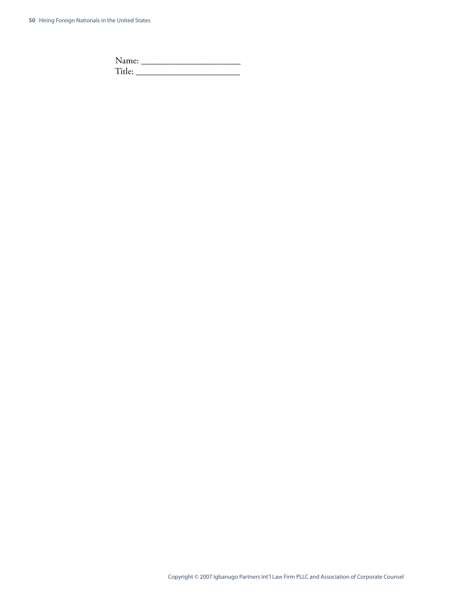| Name:  |  |
|--------|--|
| Title: |  |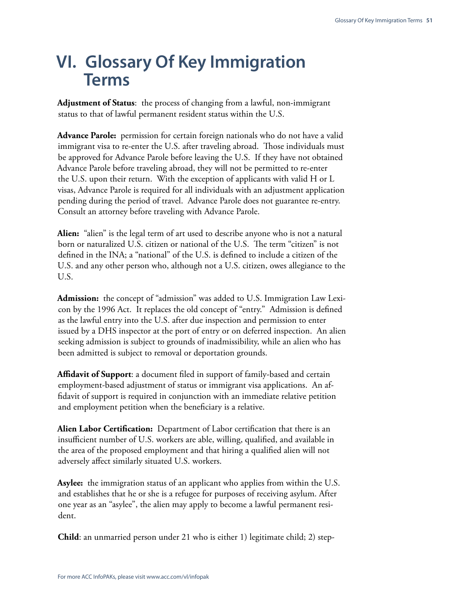# **VI. Glossary Of Key Immigration Terms**

**Adjustment of Status**: the process of changing from a lawful, non-immigrant status to that of lawful permanent resident status within the U.S.

**Advance Parole:** permission for certain foreign nationals who do not have a valid immigrant visa to re-enter the U.S. after traveling abroad. Those individuals must be approved for Advance Parole before leaving the U.S. If they have not obtained Advance Parole before traveling abroad, they will not be permitted to re-enter the U.S. upon their return. With the exception of applicants with valid H or L visas, Advance Parole is required for all individuals with an adjustment application pending during the period of travel. Advance Parole does not guarantee re-entry. Consult an attorney before traveling with Advance Parole.

**Alien:** "alien" is the legal term of art used to describe anyone who is not a natural born or naturalized U.S. citizen or national of the U.S. The term "citizen" is not defined in the INA; a "national" of the U.S. is defined to include a citizen of the U.S. and any other person who, although not a U.S. citizen, owes allegiance to the U.S.

**Admission:** the concept of "admission" was added to U.S. Immigration Law Lexicon by the 1996 Act. It replaces the old concept of "entry." Admission is defined as the lawful entry into the U.S. after due inspection and permission to enter issued by a DHS inspector at the port of entry or on deferred inspection. An alien seeking admission is subject to grounds of inadmissibility, while an alien who has been admitted is subject to removal or deportation grounds.

**Affidavit of Support**: a document filed in support of family-based and certain employment-based adjustment of status or immigrant visa applications. An affidavit of support is required in conjunction with an immediate relative petition and employment petition when the beneficiary is a relative.

**Alien Labor Certification:** Department of Labor certification that there is an insufficient number of U.S. workers are able, willing, qualified, and available in the area of the proposed employment and that hiring a qualified alien will not adversely affect similarly situated U.S. workers.

**Asylee:** the immigration status of an applicant who applies from within the U.S. and establishes that he or she is a refugee for purposes of receiving asylum. After one year as an "asylee", the alien may apply to become a lawful permanent resident.

**Child**: an unmarried person under 21 who is either 1) legitimate child; 2) step-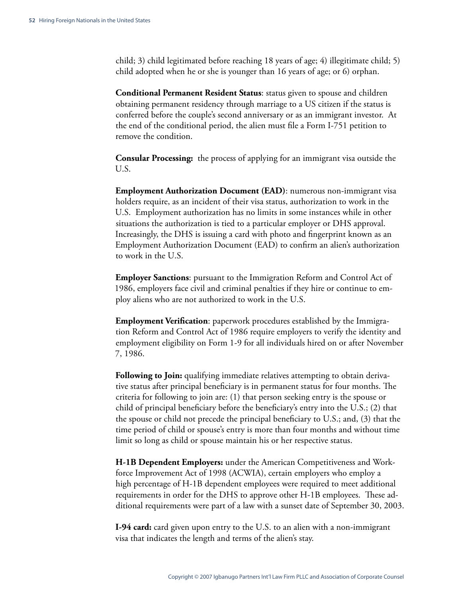child; 3) child legitimated before reaching 18 years of age; 4) illegitimate child; 5) child adopted when he or she is younger than 16 years of age; or 6) orphan.

**Conditional Permanent Resident Status**: status given to spouse and children obtaining permanent residency through marriage to a US citizen if the status is conferred before the couple's second anniversary or as an immigrant investor. At the end of the conditional period, the alien must file a Form I-751 petition to remove the condition.

**Consular Processing:** the process of applying for an immigrant visa outside the U.S.

**Employment Authorization Document (EAD)**: numerous non-immigrant visa holders require, as an incident of their visa status, authorization to work in the U.S. Employment authorization has no limits in some instances while in other situations the authorization is tied to a particular employer or DHS approval. Increasingly, the DHS is issuing a card with photo and fingerprint known as an Employment Authorization Document (EAD) to confirm an alien's authorization to work in the U.S.

**Employer Sanctions**: pursuant to the Immigration Reform and Control Act of 1986, employers face civil and criminal penalties if they hire or continue to employ aliens who are not authorized to work in the U.S.

**Employment Verification**: paperwork procedures established by the Immigration Reform and Control Act of 1986 require employers to verify the identity and employment eligibility on Form 1-9 for all individuals hired on or after November 7, 1986.

**Following to Join:** qualifying immediate relatives attempting to obtain derivative status after principal beneficiary is in permanent status for four months. The criteria for following to join are: (1) that person seeking entry is the spouse or child of principal beneficiary before the beneficiary's entry into the U.S.; (2) that the spouse or child not precede the principal beneficiary to U.S.; and, (3) that the time period of child or spouse's entry is more than four months and without time limit so long as child or spouse maintain his or her respective status.

**H-1B Dependent Employers:** under the American Competitiveness and Workforce Improvement Act of 1998 (ACWIA), certain employers who employ a high percentage of H-1B dependent employees were required to meet additional requirements in order for the DHS to approve other H-1B employees. These additional requirements were part of a law with a sunset date of September 30, 2003.

**I-94 card:** card given upon entry to the U.S. to an alien with a non-immigrant visa that indicates the length and terms of the alien's stay.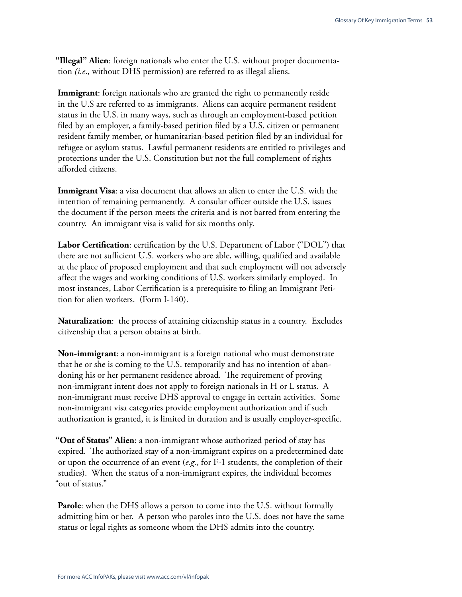**"Illegal" Alien**: foreign nationals who enter the U.S. without proper documentation *(i.e*., without DHS permission) are referred to as illegal aliens.

**Immigrant**: foreign nationals who are granted the right to permanently reside in the U.S are referred to as immigrants. Aliens can acquire permanent resident status in the U.S. in many ways, such as through an employment-based petition filed by an employer, a family-based petition filed by a U.S. citizen or permanent resident family member, or humanitarian-based petition filed by an individual for refugee or asylum status. Lawful permanent residents are entitled to privileges and protections under the U.S. Constitution but not the full complement of rights afforded citizens.

**Immigrant Visa**: a visa document that allows an alien to enter the U.S. with the intention of remaining permanently. A consular officer outside the U.S. issues the document if the person meets the criteria and is not barred from entering the country. An immigrant visa is valid for six months only.

**Labor Certification**: certification by the U.S. Department of Labor ("DOL") that there are not sufficient U.S. workers who are able, willing, qualified and available at the place of proposed employment and that such employment will not adversely affect the wages and working conditions of U.S. workers similarly employed. In most instances, Labor Certification is a prerequisite to filing an Immigrant Petition for alien workers. (Form I-140).

**Naturalization**: the process of attaining citizenship status in a country. Excludes citizenship that a person obtains at birth.

**Non-immigrant**: a non-immigrant is a foreign national who must demonstrate that he or she is coming to the U.S. temporarily and has no intention of abandoning his or her permanent residence abroad. The requirement of proving non-immigrant intent does not apply to foreign nationals in H or L status. A non-immigrant must receive DHS approval to engage in certain activities. Some non-immigrant visa categories provide employment authorization and if such authorization is granted, it is limited in duration and is usually employer-specific.

**"Out of Status" Alien**: a non-immigrant whose authorized period of stay has expired. The authorized stay of a non-immigrant expires on a predetermined date or upon the occurrence of an event (*e.g*., for F-1 students, the completion of their studies). When the status of a non-immigrant expires, the individual becomes "out of status."

**Parole**: when the DHS allows a person to come into the U.S. without formally admitting him or her. A person who paroles into the U.S. does not have the same status or legal rights as someone whom the DHS admits into the country.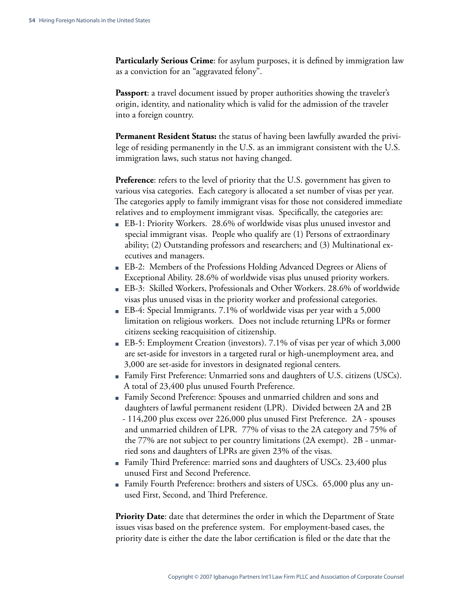**Particularly Serious Crime**: for asylum purposes, it is defined by immigration law as a conviction for an "aggravated felony".

**Passport**: a travel document issued by proper authorities showing the traveler's origin, identity, and nationality which is valid for the admission of the traveler into a foreign country.

**Permanent Resident Status:** the status of having been lawfully awarded the privilege of residing permanently in the U.S. as an immigrant consistent with the U.S. immigration laws, such status not having changed.

**Preference**: refers to the level of priority that the U.S. government has given to various visa categories. Each category is allocated a set number of visas per year. The categories apply to family immigrant visas for those not considered immediate relatives and to employment immigrant visas. Specifically, the categories are:

- EB-1: Priority Workers. 28.6% of worldwide visas plus unused investor and special immigrant visas. People who qualify are (1) Persons of extraordinary ability; (2) Outstanding professors and researchers; and (3) Multinational executives and managers.
- EB-2: Members of the Professions Holding Advanced Degrees or Aliens of Exceptional Ability. 28.6% of worldwide visas plus unused priority workers.
- EB-3: Skilled Workers, Professionals and Other Workers. 28.6% of worldwide visas plus unused visas in the priority worker and professional categories.
- EB-4: Special Immigrants. 7.1% of worldwide visas per year with a 5,000 limitation on religious workers. Does not include returning LPRs or former citizens seeking reacquisition of citizenship.
- EB-5: Employment Creation (investors). 7.1% of visas per year of which 3,000 are set-aside for investors in a targeted rural or high-unemployment area, and 3,000 are set-aside for investors in designated regional centers.
- Family First Preference: Unmarried sons and daughters of U.S. citizens (USCs). A total of 23,400 plus unused Fourth Preference.
- Family Second Preference: Spouses and unmarried children and sons and daughters of lawful permanent resident (LPR). Divided between 2A and 2B - 114,200 plus excess over 226,000 plus unused First Preference. 2A - spouses and unmarried children of LPR. 77% of visas to the 2A category and 75% of the 77% are not subject to per country limitations (2A exempt). 2B - unmarried sons and daughters of LPRs are given 23% of the visas.
- Family Third Preference: married sons and daughters of USCs. 23,400 plus unused First and Second Preference.
- Family Fourth Preference: brothers and sisters of USCs. 65,000 plus any unused First, Second, and Third Preference.

**Priority Date**: date that determines the order in which the Department of State issues visas based on the preference system. For employment-based cases, the priority date is either the date the labor certification is filed or the date that the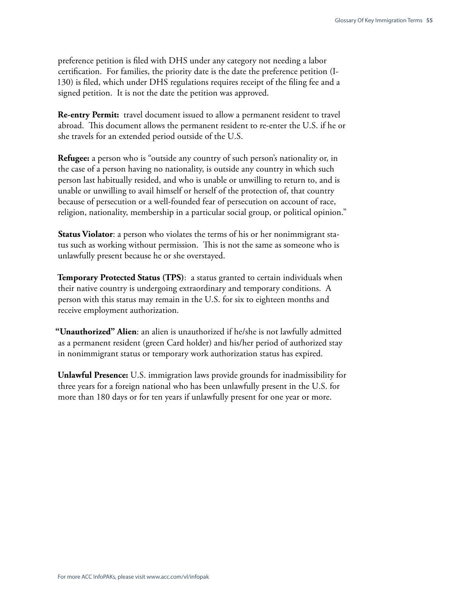preference petition is filed with DHS under any category not needing a labor certification. For families, the priority date is the date the preference petition (I-130) is filed, which under DHS regulations requires receipt of the filing fee and a signed petition. It is not the date the petition was approved.

**Re-entry Permit:** travel document issued to allow a permanent resident to travel abroad. This document allows the permanent resident to re-enter the U.S. if he or she travels for an extended period outside of the U.S.

**Refugee:** a person who is "outside any country of such person's nationality or, in the case of a person having no nationality, is outside any country in which such person last habitually resided, and who is unable or unwilling to return to, and is unable or unwilling to avail himself or herself of the protection of, that country because of persecution or a well-founded fear of persecution on account of race, religion, nationality, membership in a particular social group, or political opinion."

**Status Violator**: a person who violates the terms of his or her nonimmigrant status such as working without permission. This is not the same as someone who is unlawfully present because he or she overstayed.

**Temporary Protected Status (TPS)**: a status granted to certain individuals when their native country is undergoing extraordinary and temporary conditions. A person with this status may remain in the U.S. for six to eighteen months and receive employment authorization.

**"Unauthorized" Alien**: an alien is unauthorized if he/she is not lawfully admitted as a permanent resident (green Card holder) and his/her period of authorized stay in nonimmigrant status or temporary work authorization status has expired.

**Unlawful Presence:** U.S. immigration laws provide grounds for inadmissibility for three years for a foreign national who has been unlawfully present in the U.S. for more than 180 days or for ten years if unlawfully present for one year or more.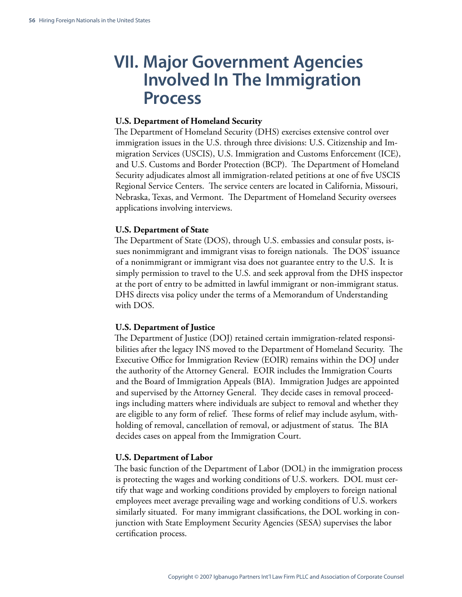# **VII. Major Government Agencies Involved In The Immigration Process**

### **U.S. Department of Homeland Security**

The Department of Homeland Security (DHS) exercises extensive control over immigration issues in the U.S. through three divisions: U.S. Citizenship and Immigration Services (USCIS), U.S. Immigration and Customs Enforcement (ICE), and U.S. Customs and Border Protection (BCP). The Department of Homeland Security adjudicates almost all immigration-related petitions at one of five USCIS Regional Service Centers. The service centers are located in California, Missouri, Nebraska, Texas, and Vermont. The Department of Homeland Security oversees applications involving interviews.

### **U.S. Department of State**

The Department of State (DOS), through U.S. embassies and consular posts, issues nonimmigrant and immigrant visas to foreign nationals. The DOS' issuance of a nonimmigrant or immigrant visa does not guarantee entry to the U.S. It is simply permission to travel to the U.S. and seek approval from the DHS inspector at the port of entry to be admitted in lawful immigrant or non-immigrant status. DHS directs visa policy under the terms of a Memorandum of Understanding with DOS.

### **U.S. Department of Justice**

The Department of Justice (DOJ) retained certain immigration-related responsibilities after the legacy INS moved to the Department of Homeland Security. The Executive Office for Immigration Review (EOIR) remains within the DOJ under the authority of the Attorney General. EOIR includes the Immigration Courts and the Board of Immigration Appeals (BIA). Immigration Judges are appointed and supervised by the Attorney General. They decide cases in removal proceedings including matters where individuals are subject to removal and whether they are eligible to any form of relief. These forms of relief may include asylum, withholding of removal, cancellation of removal, or adjustment of status. The BIA decides cases on appeal from the Immigration Court.

### **U.S. Department of Labor**

The basic function of the Department of Labor (DOL) in the immigration process is protecting the wages and working conditions of U.S. workers. DOL must certify that wage and working conditions provided by employers to foreign national employees meet average prevailing wage and working conditions of U.S. workers similarly situated. For many immigrant classifications, the DOL working in conjunction with State Employment Security Agencies (SESA) supervises the labor certification process.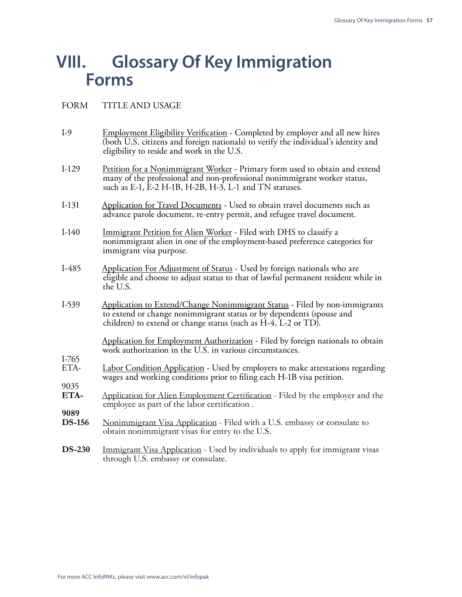# **VIII. Glossary Of Key Immigration Forms**

### FORM TITLE AND USAGE

- I-9 Employment Eligibility Verification Completed by employer and all new hires (both U.S. citizens and foreign nationals) to verify the individual's identity and eligibility to reside and work in the U.S.
- I-129 Petition for a Nonimmigrant Worker Primary form used to obtain and extend many of the professional and non-professional nonimmigrant worker status, such as E-1, E-2 H-1B, H-2B, H-3, L-1 and TN statuses.
- I-131 Application for Travel Documents Used to obtain travel documents such as advance parole document, re-entry permit, and refugee travel document.
- I-140 Immigrant Petition for Alien Worker Filed with DHS to classify a nonimmigrant alien in one of the employment-based preference categories for immigrant visa purpose.
- I-485 Application For Adjustment of Status Used by foreign nationals who are eligible and choose to adjust status to that of lawful permanent resident while in the U.S.
- I-539 Application to Extend/Change Nonimmigrant Status Filed by non-immigrants to extend or change nonimmigrant status or by dependents (spouse and children) to extend or change status (such as H-4, L-2 or TD).

Application for Employment Authorization - Filed by foreign nationals to obtain work authorization in the U.S. in various circumstances.

- ETA-9035 Labor Condition Application - Used by employers to make attestations regarding wages and working conditions prior to filing each H-1B visa petition.
- **ETA-**Application for Alien Employment Certification - Filed by the employer and the employee as part of the labor certification .

**9089**

I-765

- **DS-156** Nonimmigrant Visa Application Filed with a U.S. embassy or consulate to obtain nonimmigrant visas for entry to the U.S.
- **DS-230** Immigrant Visa Application Used by individuals to apply for immigrant visas through U.S. embassy or consulate.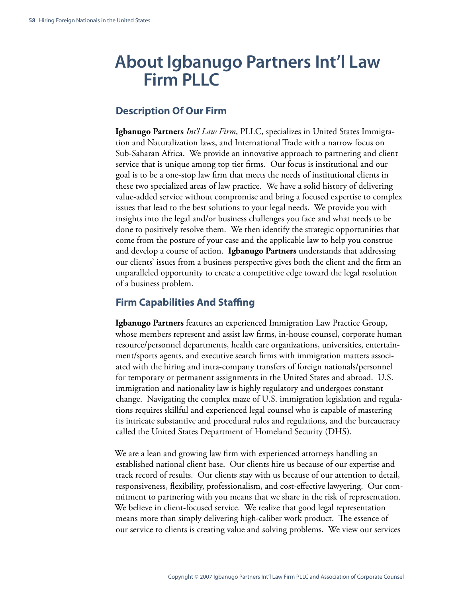# **About Igbanugo Partners Int'l Law Firm PLLC**

## **Description Of Our Firm**

**Igbanugo Partners** *Int'l Law Firm*, PLLC, specializes in United States Immigration and Naturalization laws, and International Trade with a narrow focus on Sub-Saharan Africa. We provide an innovative approach to partnering and client service that is unique among top tier firms. Our focus is institutional and our goal is to be a one-stop law firm that meets the needs of institutional clients in these two specialized areas of law practice. We have a solid history of delivering value-added service without compromise and bring a focused expertise to complex issues that lead to the best solutions to your legal needs. We provide you with insights into the legal and/or business challenges you face and what needs to be done to positively resolve them. We then identify the strategic opportunities that come from the posture of your case and the applicable law to help you construe and develop a course of action. **Igbanugo Partners** understands that addressing our clients' issues from a business perspective gives both the client and the firm an unparalleled opportunity to create a competitive edge toward the legal resolution of a business problem.

# **Firm Capabilities And Staffing**

**Igbanugo Partners** features an experienced Immigration Law Practice Group, whose members represent and assist law firms, in-house counsel, corporate human resource/personnel departments, health care organizations, universities, entertainment/sports agents, and executive search firms with immigration matters associated with the hiring and intra-company transfers of foreign nationals/personnel for temporary or permanent assignments in the United States and abroad. U.S. immigration and nationality law is highly regulatory and undergoes constant change. Navigating the complex maze of U.S. immigration legislation and regulations requires skillful and experienced legal counsel who is capable of mastering its intricate substantive and procedural rules and regulations, and the bureaucracy called the United States Department of Homeland Security (DHS).

We are a lean and growing law firm with experienced attorneys handling an established national client base. Our clients hire us because of our expertise and track record of results. Our clients stay with us because of our attention to detail, responsiveness, flexibility, professionalism, and cost-effective lawyering. Our commitment to partnering with you means that we share in the risk of representation. We believe in client-focused service. We realize that good legal representation means more than simply delivering high-caliber work product. The essence of our service to clients is creating value and solving problems. We view our services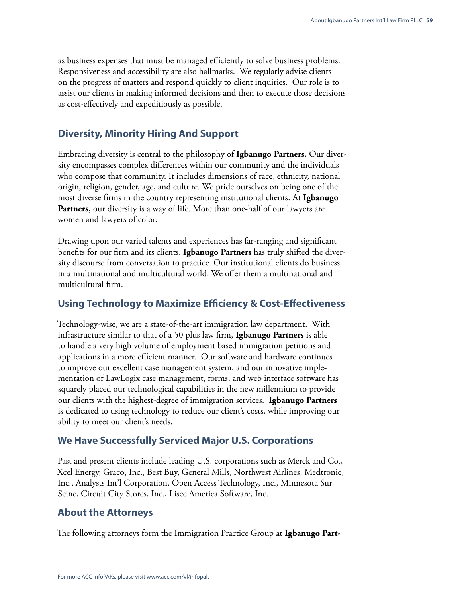as business expenses that must be managed efficiently to solve business problems. Responsiveness and accessibility are also hallmarks. We regularly advise clients on the progress of matters and respond quickly to client inquiries. Our role is to assist our clients in making informed decisions and then to execute those decisions as cost-effectively and expeditiously as possible.

## **Diversity, Minority Hiring And Support**

Embracing diversity is central to the philosophy of **Igbanugo Partners.** Our diversity encompasses complex differences within our community and the individuals who compose that community. It includes dimensions of race, ethnicity, national origin, religion, gender, age, and culture. We pride ourselves on being one of the most diverse firms in the country representing institutional clients. At **Igbanugo Partners,** our diversity is a way of life. More than one-half of our lawyers are women and lawyers of color.

Drawing upon our varied talents and experiences has far-ranging and significant benefits for our firm and its clients. **Igbanugo Partners** has truly shifted the diversity discourse from conversation to practice. Our institutional clients do business in a multinational and multicultural world. We offer them a multinational and multicultural firm.

## **Using Technology to Maximize Efficiency & Cost-Effectiveness**

Technology-wise, we are a state-of-the-art immigration law department. With infrastructure similar to that of a 50 plus law firm, **Igbanugo Partners** is able to handle a very high volume of employment based immigration petitions and applications in a more efficient manner. Our software and hardware continues to improve our excellent case management system, and our innovative implementation of LawLogix case management, forms, and web interface software has squarely placed our technological capabilities in the new millennium to provide our clients with the highest-degree of immigration services. **Igbanugo Partners** is dedicated to using technology to reduce our client's costs, while improving our ability to meet our client's needs.

## **We Have Successfully Serviced Major U.S. Corporations**

Past and present clients include leading U.S. corporations such as Merck and Co., Xcel Energy, Graco, Inc., Best Buy, General Mills, Northwest Airlines, Medtronic, Inc., Analysts Int'l Corporation, Open Access Technology, Inc., Minnesota Sur Seine, Circuit City Stores, Inc., Lisec America Software, Inc.

## **About the Attorneys**

The following attorneys form the Immigration Practice Group at **Igbanugo Part-**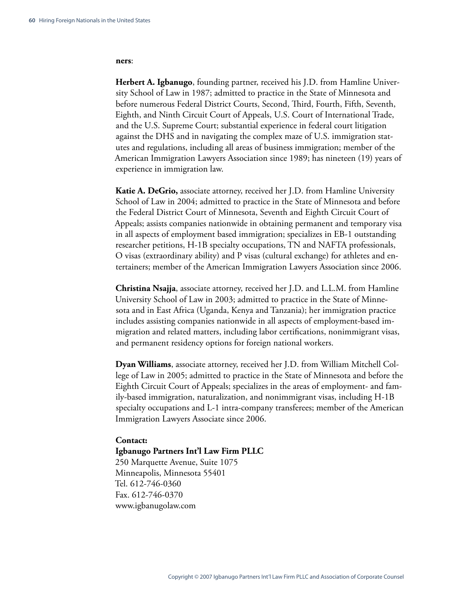#### **ners**:

**Herbert A. Igbanugo**, founding partner, received his J.D. from Hamline University School of Law in 1987; admitted to practice in the State of Minnesota and before numerous Federal District Courts, Second, Third, Fourth, Fifth, Seventh, Eighth, and Ninth Circuit Court of Appeals, U.S. Court of International Trade, and the U.S. Supreme Court; substantial experience in federal court litigation against the DHS and in navigating the complex maze of U.S. immigration statutes and regulations, including all areas of business immigration; member of the American Immigration Lawyers Association since 1989; has nineteen (19) years of experience in immigration law.

**Katie A. DeGrio,** associate attorney, received her J.D. from Hamline University School of Law in 2004; admitted to practice in the State of Minnesota and before the Federal District Court of Minnesota, Seventh and Eighth Circuit Court of Appeals; assists companies nationwide in obtaining permanent and temporary visa in all aspects of employment based immigration; specializes in EB-1 outstanding researcher petitions, H-1B specialty occupations, TN and NAFTA professionals, O visas (extraordinary ability) and P visas (cultural exchange) for athletes and entertainers; member of the American Immigration Lawyers Association since 2006.

**Christina Nsajja**, associate attorney, received her J.D. and L.L.M. from Hamline University School of Law in 2003; admitted to practice in the State of Minnesota and in East Africa (Uganda, Kenya and Tanzania); her immigration practice includes assisting companies nationwide in all aspects of employment-based immigration and related matters, including labor certifications, nonimmigrant visas, and permanent residency options for foreign national workers.

**Dyan Williams**, associate attorney, received her J.D. from William Mitchell College of Law in 2005; admitted to practice in the State of Minnesota and before the Eighth Circuit Court of Appeals; specializes in the areas of employment- and family-based immigration, naturalization, and nonimmigrant visas, including H-1B specialty occupations and L-1 intra-company transferees; member of the American Immigration Lawyers Associate since 2006.

#### **Contact:**

**Igbanugo Partners Int'l Law Firm PLLC** 250 Marquette Avenue, Suite 1075 Minneapolis, Minnesota 55401 Tel. 612-746-0360 Fax. 612-746-0370 www.igbanugolaw.com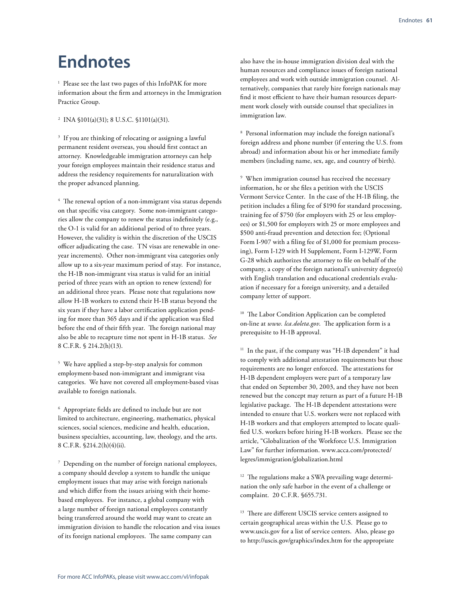# **Endnotes**

<sup>1</sup> Please see the last two pages of this InfoPAK for more information about the firm and attorneys in the Immigration Practice Group.

2 INA §101(a)(31); 8 U.S.C. §1101(a)(31).

3 If you are thinking of relocating or assigning a lawful permanent resident overseas, you should first contact an attorney. Knowledgeable immigration attorneys can help your foreign employees maintain their residence status and address the residency requirements for naturalization with the proper advanced planning.

4 The renewal option of a non-immigrant visa status depends on that specific visa category. Some non-immigrant categories allow the company to renew the status indefinitely (e.g., the O-1 is valid for an additional period of to three years. However, the validity is within the discretion of the USCIS officer adjudicating the case. TN visas are renewable in oneyear increments). Other non-immigrant visa categories only allow up to a six-year maximum period of stay. For instance, the H-1B non-immigrant visa status is valid for an initial period of three years with an option to renew (extend) for an additional three years. Please note that regulations now allow H-1B workers to extend their H-1B status beyond the six years if they have a labor certification application pending for more than 365 days and if the application was filed before the end of their fifth year. The foreign national may also be able to recapture time not spent in H-1B status. *See* 8 C.F.R. § 214.2(h)(13).

5 We have applied a step-by-step analysis for common employment-based non-immigrant and immigrant visa categories. We have not covered all employment-based visas available to foreign nationals.

6 Appropriate fields are defined to include but are not limited to architecture, engineering, mathematics, physical sciences, social sciences, medicine and health, education, business specialties, accounting, law, theology, and the arts. 8 C.F.R. §214.2(h)(4)(ii).

7 Depending on the number of foreign national employees, a company should develop a system to handle the unique employment issues that may arise with foreign nationals and which differ from the issues arising with their homebased employees. For instance, a global company with a large number of foreign national employees constantly being transferred around the world may want to create an immigration division to handle the relocation and visa issues of its foreign national employees. The same company can

also have the in-house immigration division deal with the human resources and compliance issues of foreign national employees and work with outside immigration counsel. Alternatively, companies that rarely hire foreign nationals may find it most efficient to have their human resources department work closely with outside counsel that specializes in immigration law.

8 Personal information may include the foreign national's foreign address and phone number (if entering the U.S. from abroad) and information about his or her immediate family members (including name, sex, age, and country of birth).

9 When immigration counsel has received the necessary information, he or she files a petition with the USCIS Vermont Service Center. In the case of the H-1B filing, the petition includes a filing fee of \$190 for standard processing, training fee of \$750 (for employers with 25 or less employees) or \$1,500 for employers with 25 or more employees and \$500 anti-fraud prevention and detection fee; (Optional Form I-907 with a filing fee of \$1,000 for premium processing), Form I-129 with H Supplement, Form I-129W, Form G-28 which authorizes the attorney to file on behalf of the company, a copy of the foreign national's university degree(s) with English translation and educational credentials evaluation if necessary for a foreign university, and a detailed company letter of support.

<sup>10</sup> The Labor Condition Application can be completed on-line at *www. lca.doleta.gov*. The application form is a prerequisite to H-1B approval.

<sup>11</sup> In the past, if the company was "H-1B dependent" it had to comply with additional attestation requirements but those requirements are no longer enforced. The attestations for H-1B dependent employers were part of a temporary law that ended on September 30, 2003, and they have not been renewed but the concept may return as part of a future H-1B legislative package. The H-1B dependent attestations were intended to ensure that U.S. workers were not replaced with H-1B workers and that employers attempted to locate qualified U.S. workers before hiring H-1B workers. Please see the article, "Globalization of the Workforce U.S. Immigration Law" for further information. www.acca.com/protected/ legres/immigration/globalization.html

<sup>12</sup> The regulations make a SWA prevailing wage determination the only safe harbor in the event of a challenge or complaint. 20 C.F.R. §655.731.

<sup>13</sup> There are different USCIS service centers assigned to certain geographical areas within the U.S. Please go to www.uscis.gov for a list of service centers. Also, please go to http://uscis.gov/graphics/index.htm for the appropriate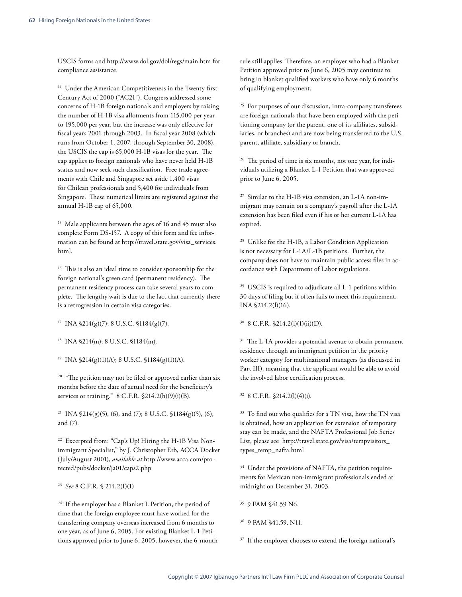USCIS forms and http://www.dol.gov/dol/regs/main.htm for compliance assistance.

<sup>14</sup> Under the American Competitiveness in the Twenty-first Century Act of 2000 ("AC21"), Congress addressed some concerns of H-1B foreign nationals and employers by raising the number of H-1B visa allotments from 115,000 per year to 195,000 per year, but the increase was only effective for fiscal years 2001 through 2003. In fiscal year 2008 (which runs from October 1, 2007, through September 30, 2008), the USCIS the cap is 65,000 H-1B visas for the year. The cap applies to foreign nationals who have never held H-1B status and now seek such classification. Free trade agreements with Chile and Singapore set aside 1,400 visas for Chilean professionals and 5,400 for individuals from Singapore. These numerical limits are registered against the annual H-1B cap of 65,000.

<sup>15</sup> Male applicants between the ages of 16 and 45 must also complete Form DS-157. A copy of this form and fee information can be found at http://travel.state.gov/visa\_services. html.

<sup>16</sup> This is also an ideal time to consider sponsorship for the foreign national's green card (permanent residency). The permanent residency process can take several years to complete. The lengthy wait is due to the fact that currently there is a retrogression in certain visa categories.

<sup>17</sup> INA  $$214(g)(7); 8$  U.S.C.  $$1184(g)(7)$ .

18 INA §214(m); 8 U.S.C. §1184(m).

19 INA §214(g)(1)(A); 8 U.S.C. §1184(g)(1)(A).

<sup>20</sup> "The petition may not be filed or approved earlier than six months before the date of actual need for the beneficiary's services or training."  $8$  C.F.R.  $$214.2(h)(9)(i)(B)$ .

<sup>21</sup> INA §214(g)(5), (6), and (7); 8 U.S.C. §1184(g)(5), (6), and (7).

22 Excerpted from: "Cap's Up! Hiring the H-1B Visa Nonimmigrant Specialist," by J. Christopher Erb, ACCA Docket (July/August 2001), *available at* http://www.acca.com/protected/pubs/docket/ja01/caps2.php

23 *See* 8 C.F.R. § 214.2(I)(1)

<sup>24</sup> If the employer has a Blanket L Petition, the period of time that the foreign employee must have worked for the transferring company overseas increased from 6 months to one year, as of June 6, 2005. For existing Blanket L-1 Petitions approved prior to June 6, 2005, however, the 6-month rule still applies. Therefore, an employer who had a Blanket Petition approved prior to June 6, 2005 may continue to bring in blanket qualified workers who have only 6 months of qualifying employment.

<sup>25</sup> For purposes of our discussion, intra-company transferees are foreign nationals that have been employed with the petitioning company (or the parent, one of its affiliates, subsidiaries, or branches) and are now being transferred to the U.S. parent, affiliate, subsidiary or branch.

<sup>26</sup> The period of time is six months, not one year, for individuals utilizing a Blanket L-1 Petition that was approved prior to June 6, 2005.

27 Similar to the H-1B visa extension, an L-1A non-immigrant may remain on a company's payroll after the L-1A extension has been filed even if his or her current L-1A has expired.

28 Unlike for the H-1B, a Labor Condition Application is not necessary for L-1A/L-1B petitions. Further, the company does not have to maintain public access files in accordance with Department of Labor regulations.

29 USCIS is required to adjudicate all L-1 petitions within 30 days of filing but it often fails to meet this requirement. INA §214.2(l)(16).

30 8 C.F.R. §214.2(l)(1)(ii)(D).

 $31$  The L-1A provides a potential avenue to obtain permanent residence through an immigrant petition in the priority worker category for multinational managers (as discussed in Part III), meaning that the applicant would be able to avoid the involved labor certification process.

 $32 \text{ } 8 \text{ } C.F.R. \text{ } $214.2(l)(4)(i).$ 

<sup>33</sup> To find out who qualifies for a TN visa, how the TN visa is obtained, how an application for extension of temporary stay can be made, and the NAFTA Professional Job Series List, please see http://travel.state.gov/visa/tempvisitors\_ types\_temp\_nafta.html

<sup>34</sup> Under the provisions of NAFTA, the petition requirements for Mexican non-immigrant professionals ended at midnight on December 31, 2003.

35 9 FAM §41.59 N6.

36 9 FAM §41.59, N11.

<sup>37</sup> If the employer chooses to extend the foreign national's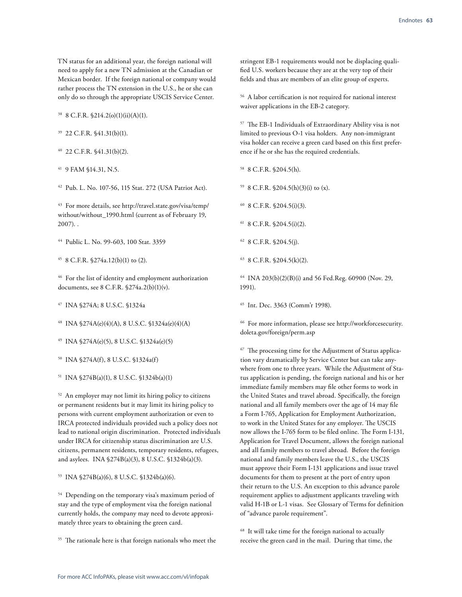TN status for an additional year, the foreign national will need to apply for a new TN admission at the Canadian or Mexican border. If the foreign national or company would rather process the TN extension in the U.S., he or she can only do so through the appropriate USCIS Service Center.

 $38$  8 C.F.R.  $$214.2(o)(1)(ii)(A)(1)$ .

39 22 C.F.R. §41.31(b)(1).

- 40 22 C.F.R. §41.31(b)(2).
- 41 9 FAM §14.31, N.5.
- 42 Pub. L. No. 107-56, 115 Stat. 272 (USA Patriot Act).

43 For more details, see http://travel.state.gov/visa/temp/ without/without\_1990.html (current as of February 19, 2007). .

- 44 Public L. No. 99-603, 100 Stat. 3359
- 45 8 C.F.R. §274a.12(b)(1) to (2).

46 For the list of identity and employment authorization documents, see 8 C.F.R. §274a.2(b)(1)(v).

47 INA §274A; 8 U.S.C. §1324a

48 INA §274A(e)(4)(A), 8 U.S.C. §1324a(e)(4)(A)

49 INA §274A(e)(5), 8 U.S.C. §1324a(e)(5)

50 INA §274A(f), 8 U.S.C. §1324a(f)

51 INA §274B(a)(1), 8 U.S.C. §1324b(a)(1)

52 An employer may not limit its hiring policy to citizens or permanent residents but it may limit its hiring policy to persons with current employment authorization or even to IRCA protected individuals provided such a policy does not lead to national origin discrimination. Protected individuals under IRCA for citizenship status discrimination are U.S. citizens, permanent residents, temporary residents, refugees, and asylees. INA §274B(a)(3), 8 U.S.C. §1324b(a)(3).

53 INA §274B(a)(6), 8 U.S.C. §1324b(a)(6).

54 Depending on the temporary visa's maximum period of stay and the type of employment visa the foreign national currently holds, the company may need to devote approximately three years to obtaining the green card.

55 The rationale here is that foreign nationals who meet the

stringent EB-1 requirements would not be displacing qualified U.S. workers because they are at the very top of their fields and thus are members of an elite group of experts.

56 A labor certification is not required for national interest waiver applications in the EB-2 category.

57 The EB-1 Individuals of Extraordinary Ability visa is not limited to previous O-1 visa holders. Any non-immigrant visa holder can receive a green card based on this first preference if he or she has the required credentials.

58 8 C.F.R. §204.5(h).

59 8 C.F.R. §204.5(h)(3)(i) to (x).

60 8 C.F.R. §204.5(i)(3).

- $61$  8 C.F.R.  $$204.5(i)(2)$ .
- 62 8 C.F.R. §204.5(j).
- 63 8 C.F.R. §204.5(k)(2).

64 INA 203(b)(2)(B)(i) and 56 Fed.Reg. 60900 (Nov. 29, 1991).

65 Int. Dec. 3363 (Comm'r 1998).

66 For more information, please see http://workforcesecurity. doleta.gov/foreign/perm.asp

67 The processing time for the Adjustment of Status application vary dramatically by Service Center but can take anywhere from one to three years. While the Adjustment of Status application is pending, the foreign national and his or her immediate family members may file other forms to work in the United States and travel abroad. Specifically, the foreign national and all family members over the age of 14 may file a Form I-765, Application for Employment Authorization, to work in the United States for any employer. The USCIS now allows the I-765 form to be filed online. The Form I-131, Application for Travel Document, allows the foreign national and all family members to travel abroad. Before the foreign national and family members leave the U.S., the USCIS must approve their Form I-131 applications and issue travel documents for them to present at the port of entry upon their return to the U.S. An exception to this advance parole requirement applies to adjustment applicants traveling with valid H-1B or L-1 visas. See Glossary of Terms for definition of "advance parole requirement".

68 It will take time for the foreign national to actually receive the green card in the mail. During that time, the